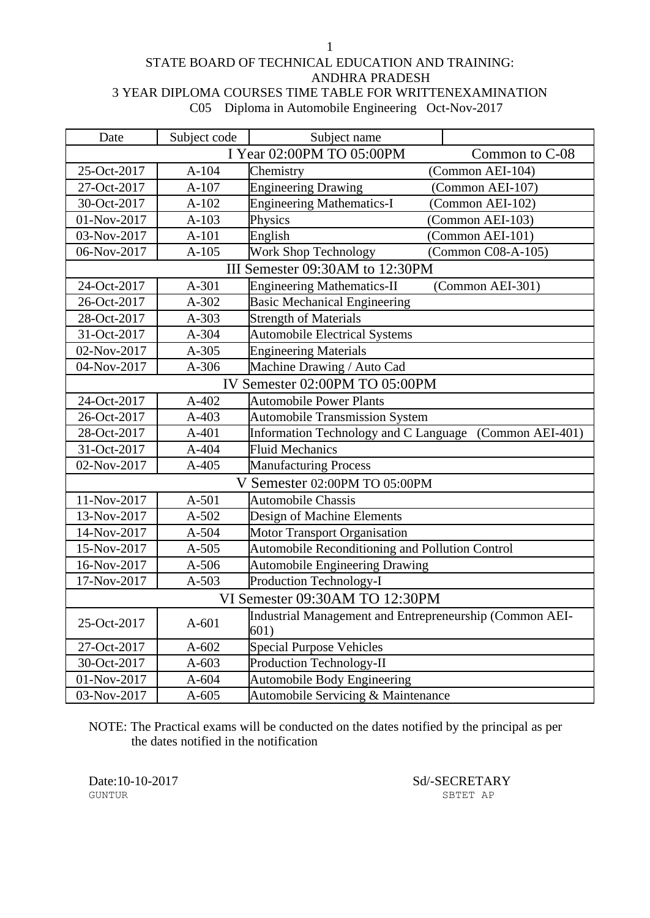#### STATE BOARD OF TECHNICAL EDUCATION AND TRAINING: ANDHRA PRADESH 3 YEAR DIPLOMA COURSES TIME TABLE FOR WRITTENEXAMINATION C05 Diploma in Automobile Engineering Oct-Nov-2017

| Date        | Subject code                   | Subject name                                                    |                    |  |
|-------------|--------------------------------|-----------------------------------------------------------------|--------------------|--|
|             |                                | I Year 02:00PM TO 05:00PM                                       | Common to C-08     |  |
| 25-Oct-2017 | $A-104$                        | Chemistry                                                       | (Common AEI-104)   |  |
| 27-Oct-2017 | $A-107$                        | <b>Engineering Drawing</b>                                      | (Common AEI-107)   |  |
| 30-Oct-2017 | $A-102$                        | <b>Engineering Mathematics-I</b>                                | (Common AEI-102)   |  |
| 01-Nov-2017 | $A-103$                        | Physics                                                         | (Common AEI-103)   |  |
| 03-Nov-2017 | $A-101$                        | English                                                         | (Common AEI-101)   |  |
| 06-Nov-2017 | $A-105$                        | Work Shop Technology                                            | (Common C08-A-105) |  |
|             |                                | III Semester 09:30AM to 12:30PM                                 |                    |  |
| 24-Oct-2017 | A-301                          | <b>Engineering Mathematics-II</b>                               | (Common AEI-301)   |  |
| 26-Oct-2017 | $A-302$                        | <b>Basic Mechanical Engineering</b>                             |                    |  |
| 28-Oct-2017 | A-303                          | <b>Strength of Materials</b>                                    |                    |  |
| 31-Oct-2017 | A-304                          | <b>Automobile Electrical Systems</b>                            |                    |  |
| 02-Nov-2017 | $A-305$                        | <b>Engineering Materials</b>                                    |                    |  |
| 04-Nov-2017 | $A-306$                        | Machine Drawing / Auto Cad                                      |                    |  |
|             | IV Semester 02:00PM TO 05:00PM |                                                                 |                    |  |
| 24-Oct-2017 | A-402                          | <b>Automobile Power Plants</b>                                  |                    |  |
| 26-Oct-2017 | $A-403$                        | <b>Automobile Transmission System</b>                           |                    |  |
| 28-Oct-2017 | $A-401$                        | <b>Information Technology and C Language</b>                    | (Common AEI-401)   |  |
| 31-Oct-2017 | A-404                          | <b>Fluid Mechanics</b>                                          |                    |  |
| 02-Nov-2017 | $A-405$                        | <b>Manufacturing Process</b>                                    |                    |  |
|             |                                | V Semester 02:00PM TO 05:00PM                                   |                    |  |
| 11-Nov-2017 | $A-501$                        | <b>Automobile Chassis</b>                                       |                    |  |
| 13-Nov-2017 | A-502                          | Design of Machine Elements                                      |                    |  |
| 14-Nov-2017 | A-504                          | Motor Transport Organisation                                    |                    |  |
| 15-Nov-2017 | $A-505$                        | Automobile Reconditioning and Pollution Control                 |                    |  |
| 16-Nov-2017 | $A-506$                        | <b>Automobile Engineering Drawing</b>                           |                    |  |
| 17-Nov-2017 | $A-503$                        | Production Technology-I                                         |                    |  |
|             |                                | VI Semester 09:30AM TO 12:30PM                                  |                    |  |
| 25-Oct-2017 | $A-601$                        | Industrial Management and Entrepreneurship (Common AEI-<br>601) |                    |  |
| 27-Oct-2017 | $A-602$                        | <b>Special Purpose Vehicles</b>                                 |                    |  |
| 30-Oct-2017 | $A-603$                        | <b>Production Technology-II</b>                                 |                    |  |
| 01-Nov-2017 | $A-604$                        | <b>Automobile Body Engineering</b>                              |                    |  |
| 03-Nov-2017 | $A-605$                        | Automobile Servicing & Maintenance                              |                    |  |

NOTE: The Practical exams will be conducted on the dates notified by the principal as per the dates notified in the notification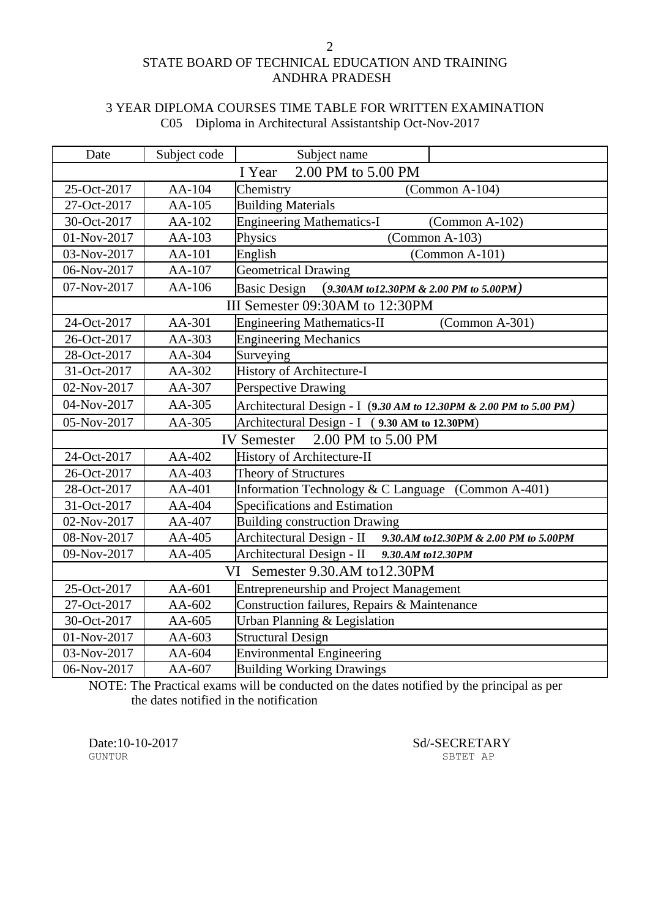## STATE BOARD OF TECHNICAL EDUCATION AND TRAINING ANDHRA PRADESH

### 3 YEAR DIPLOMA COURSES TIME TABLE FOR WRITTEN EXAMINATION C05 Diploma in Architectural Assistantship Oct-Nov-2017

| Date                                     | Subject code                      | Subject name                                                       |  |  |
|------------------------------------------|-----------------------------------|--------------------------------------------------------------------|--|--|
| 2.00 PM to 5.00 PM<br>I Year             |                                   |                                                                    |  |  |
| 25-Oct-2017                              | AA-104                            | Chemistry<br>$(Common A-104)$                                      |  |  |
| 27-Oct-2017                              | AA-105                            | <b>Building Materials</b>                                          |  |  |
| 30-Oct-2017                              | AA-102                            | <b>Engineering Mathematics-I</b><br>$(Common A-102)$               |  |  |
| 01-Nov-2017                              | AA-103                            | $(Common A-103)$<br>Physics                                        |  |  |
| 03-Nov-2017                              | AA-101                            | English<br>(Common A-101)                                          |  |  |
| 06-Nov-2017                              | AA-107                            | <b>Geometrical Drawing</b>                                         |  |  |
| 07-Nov-2017                              | AA-106                            | <b>Basic Design</b><br>$(9.30AM to 12.30PM \& 2.00 PM to 5.00PM)$  |  |  |
|                                          |                                   | III Semester 09:30AM to 12:30PM                                    |  |  |
| 24-Oct-2017                              | AA-301                            | <b>Engineering Mathematics-II</b><br>$(Common A-301)$              |  |  |
| 26-Oct-2017                              | AA-303                            | <b>Engineering Mechanics</b>                                       |  |  |
| 28-Oct-2017                              | AA-304                            | Surveying                                                          |  |  |
| 31-Oct-2017                              | AA-302                            | History of Architecture-I                                          |  |  |
| 02-Nov-2017                              | AA-307                            | Perspective Drawing                                                |  |  |
| 04-Nov-2017                              | AA-305                            | Architectural Design - I (9.30 AM to 12.30PM & 2.00 PM to 5.00 PM) |  |  |
| 05-Nov-2017                              | AA-305                            | Architectural Design - I (9.30 AM to 12.30PM)                      |  |  |
| 2.00 PM to 5.00 PM<br><b>IV</b> Semester |                                   |                                                                    |  |  |
| 24-Oct-2017                              | AA-402                            | History of Architecture-II                                         |  |  |
| 26-Oct-2017                              | AA-403                            | <b>Theory of Structures</b>                                        |  |  |
| 28-Oct-2017                              | AA-401                            | Information Technology & C Language (Common A-401)                 |  |  |
| 31-Oct-2017                              | AA-404                            | Specifications and Estimation                                      |  |  |
| 02-Nov-2017                              | AA-407                            | <b>Building construction Drawing</b>                               |  |  |
| 08-Nov-2017                              | AA-405                            | Architectural Design - II 9.30.AM to 12.30PM & 2.00 PM to 5.00PM   |  |  |
| 09-Nov-2017                              | AA-405                            | Architectural Design - II 9.30.AM to12.30PM                        |  |  |
|                                          | Semester 9.30.AM to 12.30PM<br>VI |                                                                    |  |  |
| 25-Oct-2017                              | AA-601                            | <b>Entrepreneurship and Project Management</b>                     |  |  |
| 27-Oct-2017                              | AA-602                            | Construction failures, Repairs & Maintenance                       |  |  |
| 30-Oct-2017                              | AA-605                            | Urban Planning & Legislation                                       |  |  |
| 01-Nov-2017                              | AA-603                            | <b>Structural Design</b>                                           |  |  |
| 03-Nov-2017                              | AA-604                            | Environmental Engineering                                          |  |  |
| 06-Nov-2017                              | AA-607                            | <b>Building Working Drawings</b>                                   |  |  |

NOTE: The Practical exams will be conducted on the dates notified by the principal as per the dates notified in the notification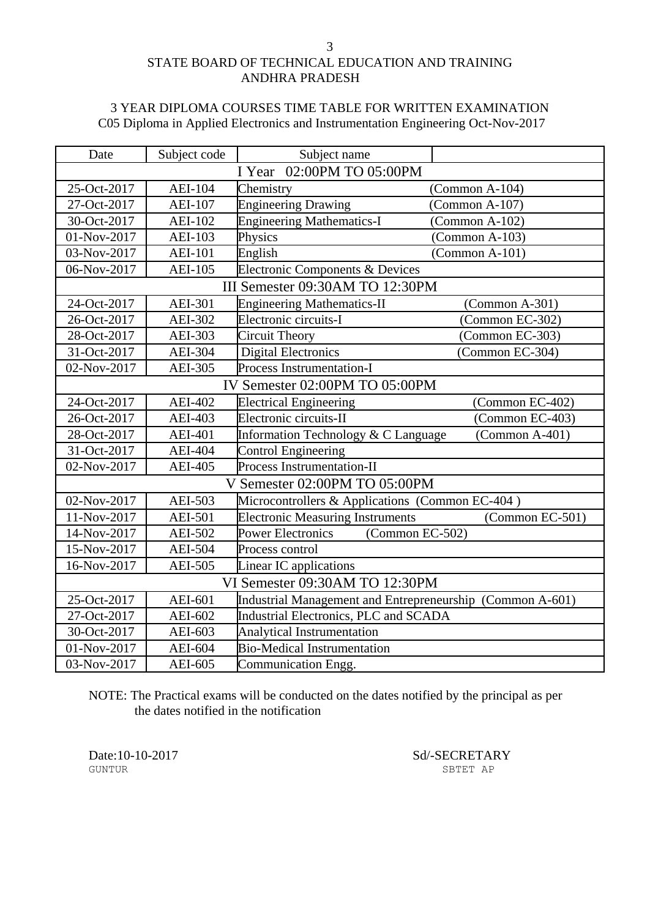## STATE BOARD OF TECHNICAL EDUCATION AND TRAINING ANDHRA PRADESH

## 3 YEAR DIPLOMA COURSES TIME TABLE FOR WRITTEN EXAMINATION C05 Diploma in Applied Electronics and Instrumentation Engineering Oct-Nov-2017

| Date                      | Subject code                   | Subject name                                              |                  |  |
|---------------------------|--------------------------------|-----------------------------------------------------------|------------------|--|
| I Year 02:00PM TO 05:00PM |                                |                                                           |                  |  |
| 25-Oct-2017               | <b>AEI-104</b>                 | Chemistry                                                 | $(Common A-104)$ |  |
| 27-Oct-2017               | <b>AEI-107</b>                 | <b>Engineering Drawing</b>                                | $(Common A-107)$ |  |
| 30-Oct-2017               | <b>AEI-102</b>                 | <b>Engineering Mathematics-I</b>                          | $(Common A-102)$ |  |
| 01-Nov-2017               | <b>AEI-103</b>                 | Physics                                                   | $(Common A-103)$ |  |
| 03-Nov-2017               | <b>AEI-101</b>                 | English                                                   | (Common A-101)   |  |
| 06-Nov-2017               | <b>AEI-105</b>                 | Electronic Components & Devices                           |                  |  |
|                           |                                | III Semester 09:30AM TO 12:30PM                           |                  |  |
| 24-Oct-2017               | <b>AEI-301</b>                 | <b>Engineering Mathematics-II</b>                         | (Common A-301)   |  |
| 26-Oct-2017               | AEI-302                        | Electronic circuits-I                                     | (Common EC-302)  |  |
| 28-Oct-2017               | AEI-303                        | <b>Circuit Theory</b>                                     | (Common EC-303)  |  |
| 31-Oct-2017               | <b>AEI-304</b>                 | <b>Digital Electronics</b>                                | (Common EC-304)  |  |
| 02-Nov-2017               | AEI-305                        | Process Instrumentation-I                                 |                  |  |
|                           |                                | IV Semester 02:00PM TO 05:00PM                            |                  |  |
| 24-Oct-2017               | <b>AEI-402</b>                 | <b>Electrical Engineering</b>                             | (Common EC-402)  |  |
| 26-Oct-2017               | <b>AEI-403</b>                 | Electronic circuits-II                                    | (Common EC-403)  |  |
| 28-Oct-2017               | <b>AEI-401</b>                 | Information Technology & C Language                       | (Common A-401)   |  |
| 31-Oct-2017               | <b>AEI-404</b>                 | Control Engineering                                       |                  |  |
| 02-Nov-2017               | <b>AEI-405</b>                 | Process Instrumentation-II                                |                  |  |
|                           |                                | V Semester 02:00PM TO 05:00PM                             |                  |  |
| 02-Nov-2017               | AEI-503                        | Microcontrollers & Applications (Common EC-404)           |                  |  |
| 11-Nov-2017               | <b>AEI-501</b>                 | <b>Electronic Measuring Instruments</b>                   | (Common EC-501)  |  |
| 14-Nov-2017               | AEI-502                        | <b>Power Electronics</b><br>(Common EC-502)               |                  |  |
| 15-Nov-2017               | <b>AEI-504</b>                 | Process control                                           |                  |  |
| 16-Nov-2017               | <b>AEI-505</b>                 | Linear IC applications                                    |                  |  |
|                           | VI Semester 09:30AM TO 12:30PM |                                                           |                  |  |
| 25-Oct-2017               | AEI-601                        | Industrial Management and Entrepreneurship (Common A-601) |                  |  |
| 27-Oct-2017               | AEI-602                        | Industrial Electronics, PLC and SCADA                     |                  |  |
| 30-Oct-2017               | AEI-603                        | <b>Analytical Instrumentation</b>                         |                  |  |
| 01-Nov-2017               | AEI-604                        | <b>Bio-Medical Instrumentation</b>                        |                  |  |
| 03-Nov-2017               | AEI-605                        | Communication Engg.                                       |                  |  |

NOTE: The Practical exams will be conducted on the dates notified by the principal as per the dates notified in the notification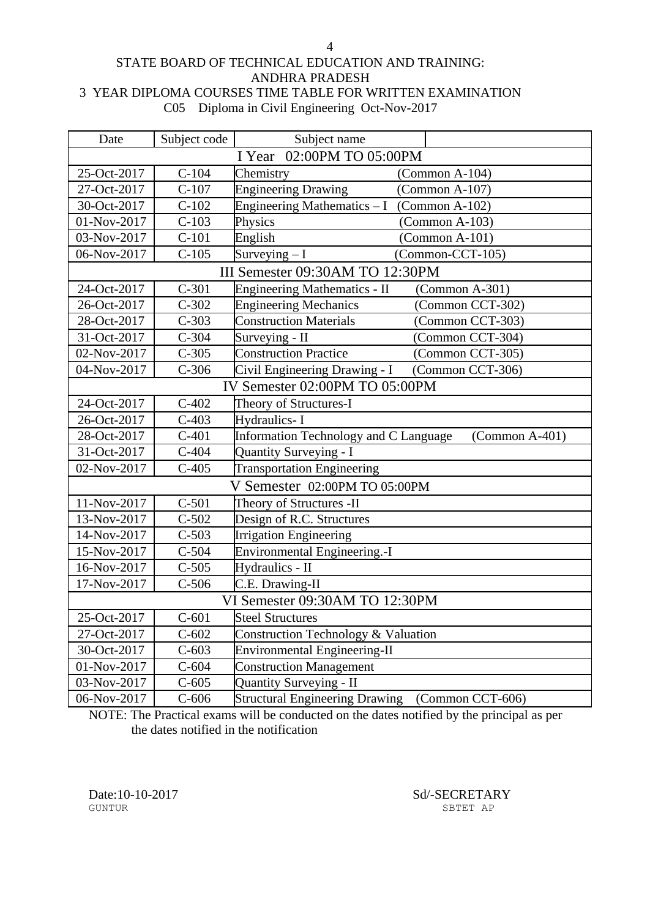### STATE BOARD OF TECHNICAL EDUCATION AND TRAINING: ANDHRA PRADESH 3 YEAR DIPLOMA COURSES TIME TABLE FOR WRITTEN EXAMINATION C05 Diploma in Civil Engineering Oct-Nov-2017

| Date                           | Subject code              | Subject name                                              |  |  |
|--------------------------------|---------------------------|-----------------------------------------------------------|--|--|
|                                | I Year 02:00PM TO 05:00PM |                                                           |  |  |
| 25-Oct-2017                    | $C-104$                   | Chemistry<br>$(Common A-104)$                             |  |  |
| 27-Oct-2017                    | $C-107$                   | <b>Engineering Drawing</b><br>$(Common A-107)$            |  |  |
| 30-Oct-2017                    | $C-102$                   | Engineering Mathematics - I (Common A-102)                |  |  |
| 01-Nov-2017                    | $C-103$                   | Physics<br>$(Common A-103)$                               |  |  |
| 03-Nov-2017                    | $C-101$                   | English<br>$(Common A-101)$                               |  |  |
| 06-Nov-2017                    | $C-105$                   | Surveying $-I$<br>(Common-CCT-105)                        |  |  |
|                                |                           | III Semester 09:30AM TO 12:30PM                           |  |  |
| 24-Oct-2017                    | $C-301$                   | <b>Engineering Mathematics - II</b><br>$(Common A-301)$   |  |  |
| 26-Oct-2017                    | $C-302$                   | <b>Engineering Mechanics</b><br>(Common CCT-302)          |  |  |
| 28-Oct-2017                    | $C-303$                   | <b>Construction Materials</b><br>(Common CCT-303)         |  |  |
| 31-Oct-2017                    | $C-304$                   | Surveying - II<br>(Common CCT-304)                        |  |  |
| 02-Nov-2017                    | $C-305$                   | <b>Construction Practice</b><br>(Common CCT-305)          |  |  |
| 04-Nov-2017                    | $C-306$                   | Civil Engineering Drawing - I<br>(Common CCT-306)         |  |  |
| IV Semester 02:00PM TO 05:00PM |                           |                                                           |  |  |
| 24-Oct-2017                    | $C-402$                   | Theory of Structures-I                                    |  |  |
| 26-Oct-2017                    | $C-403$                   | Hydraulics-I                                              |  |  |
| 28-Oct-2017                    | $C-401$                   | Information Technology and C Language<br>(Common A-401)   |  |  |
| 31-Oct-2017                    | $C-404$                   | <b>Quantity Surveying - I</b>                             |  |  |
| 02-Nov-2017                    | $C-405$                   | <b>Transportation Engineering</b>                         |  |  |
|                                |                           | V Semester 02:00PM TO 05:00PM                             |  |  |
| 11-Nov-2017                    | $C-501$                   | Theory of Structures -II                                  |  |  |
| 13-Nov-2017                    | $C-502$                   | Design of R.C. Structures                                 |  |  |
| 14-Nov-2017                    | $C-503$                   | <b>Irrigation Engineering</b>                             |  |  |
| 15-Nov-2017                    | $C-504$                   | <b>Environmental Engineering.-I</b>                       |  |  |
| 16-Nov-2017                    | $C-505$                   | Hydraulics - II                                           |  |  |
| 17-Nov-2017                    | $C-506$                   | C.E. Drawing-II                                           |  |  |
|                                |                           | VI Semester 09:30AM TO 12:30PM                            |  |  |
| 25-Oct-2017                    | $C-601$                   | <b>Steel Structures</b>                                   |  |  |
| 27-Oct-2017                    | $C-602$                   | Construction Technology & Valuation                       |  |  |
| 30-Oct-2017                    | $C-603$                   | Environmental Engineering- $\overline{II}$                |  |  |
| 01-Nov-2017                    | $C-604$                   | <b>Construction Management</b>                            |  |  |
| 03-Nov-2017                    | $C-605$                   | <b>Quantity Surveying - II</b>                            |  |  |
| 06-Nov-2017                    | $C-606$                   | <b>Structural Engineering Drawing</b><br>(Common CCT-606) |  |  |

NOTE: The Practical exams will be conducted on the dates notified by the principal as per the dates notified in the notification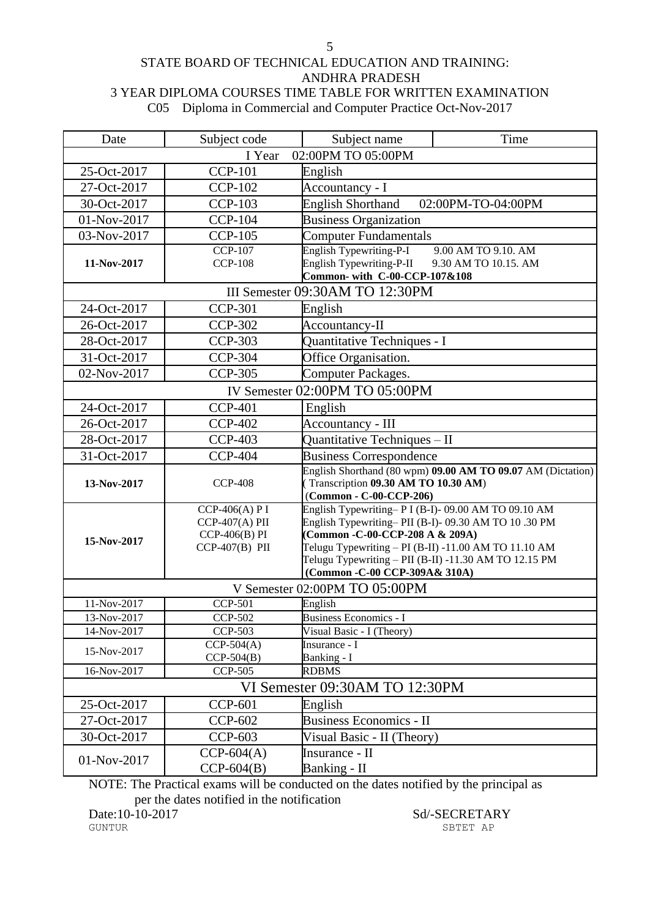#### STATE BOARD OF TECHNICAL EDUCATION AND TRAINING: ANDHRA PRADESH 3 YEAR DIPLOMA COURSES TIME TABLE FOR WRITTEN EXAMINATION C05 Diploma in Commercial and Computer Practice Oct-Nov-2017

| Date                                                      | Subject code                       | Subject name                                                                                             | Time                                                        |  |  |
|-----------------------------------------------------------|------------------------------------|----------------------------------------------------------------------------------------------------------|-------------------------------------------------------------|--|--|
|                                                           | I Year                             | 02:00PM TO 05:00PM                                                                                       |                                                             |  |  |
| 25-Oct-2017                                               | <b>CCP-101</b><br>English          |                                                                                                          |                                                             |  |  |
| 27-Oct-2017                                               | <b>CCP-102</b>                     | Accountancy - I                                                                                          |                                                             |  |  |
| 30-Oct-2017                                               | <b>CCP-103</b>                     | <b>English Shorthand</b>                                                                                 | 02:00PM-TO-04:00PM                                          |  |  |
| 01-Nov-2017                                               | <b>CCP-104</b>                     | <b>Business Organization</b>                                                                             |                                                             |  |  |
| 03-Nov-2017                                               | <b>CCP-105</b>                     | <b>Computer Fundamentals</b>                                                                             |                                                             |  |  |
|                                                           | $CCP-107$                          | English Typewriting-P-I                                                                                  | 9.00 AM TO 9.10. AM                                         |  |  |
| English Typewriting-P-II<br><b>CCP-108</b><br>11-Nov-2017 |                                    | 9.30 AM TO 10.15. AM                                                                                     |                                                             |  |  |
| Common-with C-00-CCP-107&108                              |                                    |                                                                                                          |                                                             |  |  |
|                                                           |                                    | III Semester 09:30AM TO 12:30PM                                                                          |                                                             |  |  |
| 24-Oct-2017                                               | <b>CCP-301</b>                     | English                                                                                                  |                                                             |  |  |
| 26-Oct-2017                                               | <b>CCP-302</b>                     | Accountancy-II                                                                                           |                                                             |  |  |
| 28-Oct-2017                                               | <b>CCP-303</b>                     | Quantitative Techniques - I                                                                              |                                                             |  |  |
| 31-Oct-2017                                               | <b>CCP-304</b>                     | Office Organisation.                                                                                     |                                                             |  |  |
| 02-Nov-2017                                               | <b>CCP-305</b>                     | Computer Packages.                                                                                       |                                                             |  |  |
|                                                           |                                    | IV Semester 02:00PM TO 05:00PM                                                                           |                                                             |  |  |
| 24-Oct-2017                                               | <b>CCP-401</b>                     | English                                                                                                  |                                                             |  |  |
| 26-Oct-2017                                               | <b>CCP-402</b>                     | Accountancy - III                                                                                        |                                                             |  |  |
| 28-Oct-2017                                               | <b>CCP-403</b>                     | Quantitative Techniques - II                                                                             |                                                             |  |  |
| 31-Oct-2017                                               | <b>CCP-404</b>                     |                                                                                                          | <b>Business Correspondence</b>                              |  |  |
|                                                           |                                    |                                                                                                          | English Shorthand (80 wpm) 09.00 AM TO 09.07 AM (Dictation) |  |  |
| 13-Nov-2017                                               | <b>CCP-408</b>                     | Transcription 09.30 AM TO 10.30 AM)                                                                      |                                                             |  |  |
|                                                           |                                    | (Common - C-00-CCP-206)                                                                                  |                                                             |  |  |
|                                                           | CCP-406(A) P I<br>$CCP-407(A)$ PII | English Typewriting-P I (B-I)-09.00 AM TO 09.10 AM<br>English Typewriting-PII (B-I)-09.30 AM TO 10.30 PM |                                                             |  |  |
|                                                           | $CCP-406(B) PI$                    | (Common - C-00-CCP-208 A & 209A)                                                                         |                                                             |  |  |
| 15-Nov-2017                                               | $CCP-407(B)$ PII                   | Telugu Typewriting $-$ PI (B-II) -11.00 AM TO 11.10 AM                                                   |                                                             |  |  |
|                                                           |                                    | Telugu Typewriting $-$ PII (B-II) -11.30 AM TO 12.15 PM                                                  |                                                             |  |  |
|                                                           |                                    | (Common - C-00 CCP-309A& 310A)                                                                           |                                                             |  |  |
|                                                           |                                    | V Semester 02:00PM TO 05:00PM                                                                            |                                                             |  |  |
| 11-Nov-2017                                               | <b>CCP-501</b>                     | English                                                                                                  |                                                             |  |  |
| 13-Nov-2017                                               | CCP-502                            | Business Economics - I                                                                                   |                                                             |  |  |
| 14-Nov-2017                                               | CCP-503                            | Visual Basic - I (Theory)                                                                                |                                                             |  |  |
| 15-Nov-2017                                               | $CCP-504(A)$<br>$CCP-504(B)$       | Insurance - I<br>Banking - I                                                                             |                                                             |  |  |
| 16-Nov-2017                                               | <b>CCP-505</b>                     | <b>RDBMS</b>                                                                                             |                                                             |  |  |
|                                                           |                                    | VI Semester 09:30AM TO 12:30PM                                                                           |                                                             |  |  |
| 25-Oct-2017                                               | <b>CCP-601</b>                     | English                                                                                                  |                                                             |  |  |
| 27-Oct-2017                                               | <b>CCP-602</b>                     | <b>Business Economics - II</b>                                                                           |                                                             |  |  |
| 30-Oct-2017                                               | <b>CCP-603</b>                     | Visual Basic - II (Theory)                                                                               |                                                             |  |  |
|                                                           | $CCP-604(A)$                       | Insurance - II                                                                                           |                                                             |  |  |
| 01-Nov-2017                                               | $CCP-604(B)$                       | Banking - II                                                                                             |                                                             |  |  |

NOTE: The Practical exams will be conducted on the dates notified by the principal as per the dates notified in the notification<br>Date:10-10-2017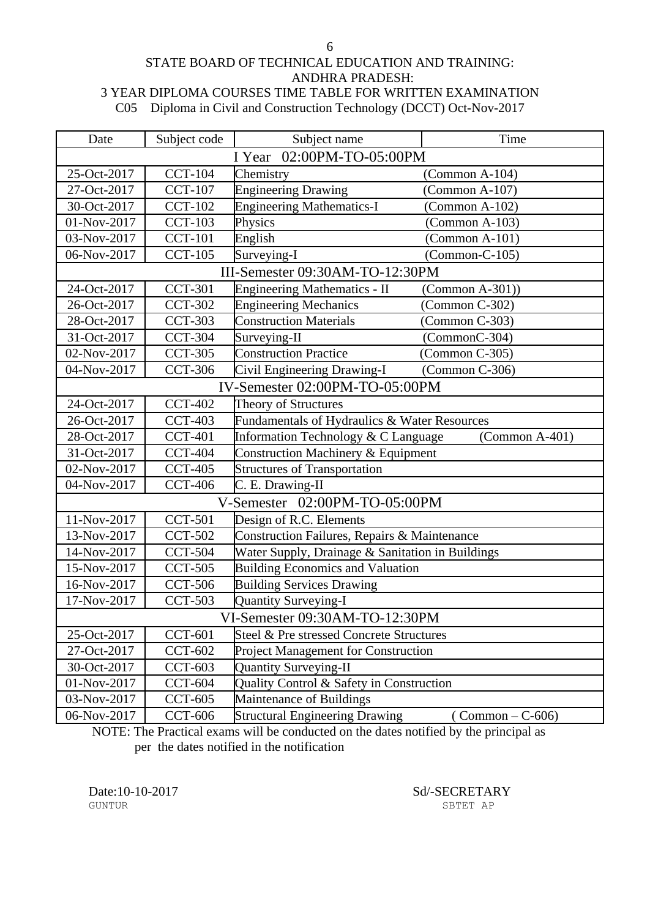#### STATE BOARD OF TECHNICAL EDUCATION AND TRAINING: ANDHRA PRADESH: 3 YEAR DIPLOMA COURSES TIME TABLE FOR WRITTEN EXAMINATION C05 Diploma in Civil and Construction Technology (DCCT) Oct-Nov-2017

| Date                      | Subject code   | Subject name                                            | Time                              |  |
|---------------------------|----------------|---------------------------------------------------------|-----------------------------------|--|
| I Year 02:00PM-TO-05:00PM |                |                                                         |                                   |  |
| 25-Oct-2017               | <b>CCT-104</b> | Chemistry                                               | $(Common A-104)$                  |  |
| 27-Oct-2017               | <b>CCT-107</b> | <b>Engineering Drawing</b>                              | $(Common A-107)$                  |  |
| 30-Oct-2017               | <b>CCT-102</b> | <b>Engineering Mathematics-I</b>                        | $(Common A-102)$                  |  |
| 01-Nov-2017               | <b>CCT-103</b> | Physics                                                 | $(Common A-103)$                  |  |
| 03-Nov-2017               | <b>CCT-101</b> | English                                                 | $(Common A-101)$                  |  |
| 06-Nov-2017               | <b>CCT-105</b> | Surveying-I                                             | $(Common-C-105)$                  |  |
|                           |                | III-Semester 09:30AM-TO-12:30PM                         |                                   |  |
| 24-Oct-2017               | <b>CCT-301</b> | <b>Engineering Mathematics - II</b>                     | (Common A-301))                   |  |
| 26-Oct-2017               | <b>CCT-302</b> | <b>Engineering Mechanics</b>                            | (Common C-302)                    |  |
| 28-Oct-2017               | <b>CCT-303</b> | <b>Construction Materials</b>                           | $(Common C-303)$                  |  |
| 31-Oct-2017               | <b>CCT-304</b> | Surveying-II                                            | (CommonC-304)                     |  |
| 02-Nov-2017               | <b>CCT-305</b> | <b>Construction Practice</b>                            | $(Common C-305)$                  |  |
| 04-Nov-2017               | <b>CCT-306</b> | Civil Engineering Drawing-I                             | (Common C-306)                    |  |
|                           |                | IV-Semester 02:00PM-TO-05:00PM                          |                                   |  |
| 24-Oct-2017               | <b>CCT-402</b> | Theory of Structures                                    |                                   |  |
| 26-Oct-2017               | <b>CCT-403</b> | Fundamentals of Hydraulics & Water Resources            |                                   |  |
| 28-Oct-2017               | <b>CCT-401</b> | Information Technology & C Language<br>$(Common A-401)$ |                                   |  |
| 31-Oct-2017               | <b>CCT-404</b> | Construction Machinery & Equipment                      |                                   |  |
| 02-Nov-2017               | <b>CCT-405</b> | <b>Structures of Transportation</b>                     |                                   |  |
| 04-Nov-2017               | <b>CCT-406</b> | C. E. Drawing-II                                        |                                   |  |
|                           |                | V-Semester 02:00PM-TO-05:00PM                           |                                   |  |
| 11-Nov-2017               | <b>CCT-501</b> | Design of R.C. Elements                                 |                                   |  |
| 13-Nov-2017               | <b>CCT-502</b> | Construction Failures, Repairs & Maintenance            |                                   |  |
| 14-Nov-2017               | <b>CCT-504</b> | Water Supply, Drainage & Sanitation in Buildings        |                                   |  |
| 15-Nov-2017               | <b>CCT-505</b> | <b>Building Economics and Valuation</b>                 |                                   |  |
| 16-Nov-2017               | <b>CCT-506</b> | <b>Building Services Drawing</b>                        |                                   |  |
| 17-Nov-2017               | <b>CCT-503</b> | <b>Quantity Surveying-I</b>                             |                                   |  |
|                           |                | VI-Semester 09:30AM-TO-12:30PM                          |                                   |  |
| 25-Oct-2017               | <b>CCT-601</b> | Steel & Pre stressed Concrete Structures                |                                   |  |
| 27-Oct-2017               | <b>CCT-602</b> | <b>Project Management for Construction</b>              |                                   |  |
| 30-Oct-2017               | <b>CCT-603</b> | <b>Quantity Surveying-II</b>                            |                                   |  |
| 01-Nov-2017               | <b>CCT-604</b> | Quality Control & Safety in Construction                |                                   |  |
| 03-Nov-2017               | <b>CCT-605</b> | Maintenance of Buildings                                |                                   |  |
| 06-Nov-2017               | <b>CCT-606</b> | <b>Structural Engineering Drawing</b>                   | $\text{(Common } - \text{C-606)}$ |  |

NOTE: The Practical exams will be conducted on the dates notified by the principal as per the dates notified in the notification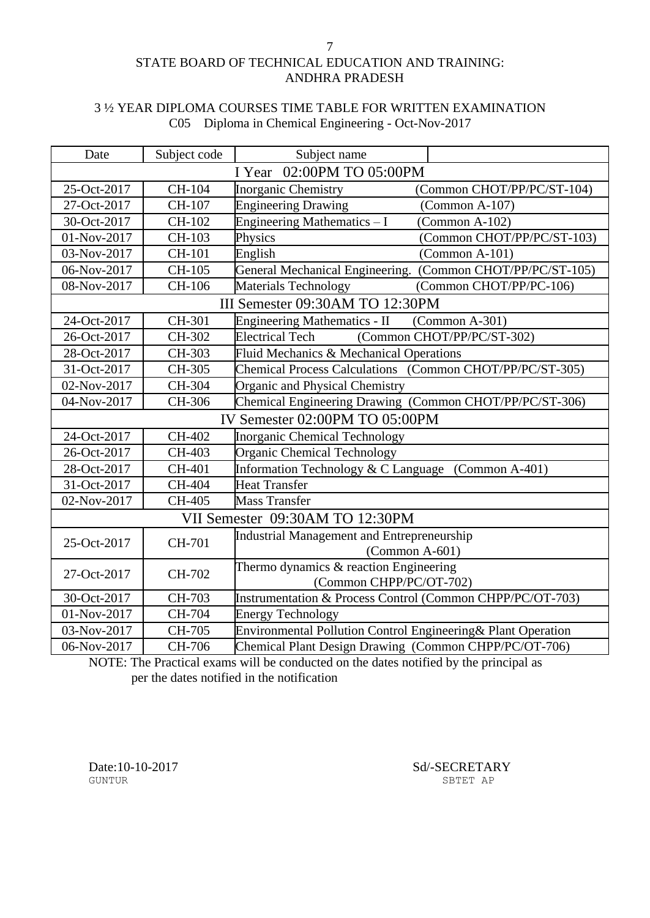## STATE BOARD OF TECHNICAL EDUCATION AND TRAINING: ANDHRA PRADESH

### 3 ½ YEAR DIPLOMA COURSES TIME TABLE FOR WRITTEN EXAMINATION C05 Diploma in Chemical Engineering - Oct-Nov-2017

| Date                       | Subject code                   | Subject name                                                         |  |
|----------------------------|--------------------------------|----------------------------------------------------------------------|--|
| I Year 02:00PM TO 05:00PM  |                                |                                                                      |  |
| 25-Oct-2017                | CH-104                         | <b>Inorganic Chemistry</b><br>(Common CHOT/PP/PC/ST-104)             |  |
| 27-Oct-2017                | CH-107                         | <b>Engineering Drawing</b><br>(Common A-107)                         |  |
| 30-Oct-2017                | CH-102                         | Engineering Mathematics - I<br>$(Common A-102)$                      |  |
| 01-Nov-2017                | CH-103                         | Physics<br>(Common CHOT/PP/PC/ST-103)                                |  |
| 03-Nov-2017                | CH-101                         | English<br>$(Common A-101)$                                          |  |
| 06-Nov-2017                | CH-105                         | General Mechanical Engineering. (Common CHOT/PP/PC/ST-105)           |  |
| 08-Nov-2017                | CH-106                         | Materials Technology<br>(Common CHOT/PP/PC-106)                      |  |
|                            |                                | III Semester 09:30AM TO 12:30PM                                      |  |
| 24-Oct-2017                | CH-301                         | <b>Engineering Mathematics - II</b><br>$(Common A-301)$              |  |
| 26-Oct-2017                | CH-302                         | (Common CHOT/PP/PC/ST-302)<br><b>Electrical Tech</b>                 |  |
| 28-Oct-2017                | CH-303                         | Fluid Mechanics & Mechanical Operations                              |  |
| 31-Oct-2017                | CH-305                         | Chemical Process Calculations (Common CHOT/PP/PC/ST-305)             |  |
| 02-Nov-2017                | CH-304                         | Organic and Physical Chemistry                                       |  |
| 04-Nov-2017                | CH-306                         | Chemical Engineering Drawing (Common CHOT/PP/PC/ST-306)              |  |
|                            | IV Semester 02:00PM TO 05:00PM |                                                                      |  |
| 24-Oct-2017                | CH-402                         | <b>Inorganic Chemical Technology</b>                                 |  |
| 26-Oct-2017                | CH-403                         | <b>Organic Chemical Technology</b>                                   |  |
| 28-Oct-2017                | CH-401                         | Information Technology & C Language (Common A-401)                   |  |
| 31-Oct-2017                | CH-404                         | <b>Heat Transfer</b>                                                 |  |
| 02-Nov-2017                | CH-405                         | Mass Transfer                                                        |  |
|                            |                                | VII Semester 09:30AM TO 12:30PM                                      |  |
| 25-Oct-2017                | CH-701                         | Industrial Management and Entrepreneurship                           |  |
|                            |                                | $(Common A-601)$                                                     |  |
| 27-Oct-2017                | CH-702                         | Thermo dynamics $\&$ reaction Engineering<br>(Common CHPP/PC/OT-702) |  |
|                            |                                |                                                                      |  |
| 30-Oct-2017<br>01-Nov-2017 | CH-703                         | Instrumentation & Process Control (Common CHPP/PC/OT-703)            |  |
|                            | CH-704                         | <b>Energy Technology</b>                                             |  |
| 03-Nov-2017                | CH-705                         | Environmental Pollution Control Engineering& Plant Operation         |  |
| 06-Nov-2017                | CH-706                         | Chemical Plant Design Drawing (Common CHPP/PC/OT-706)                |  |

NOTE: The Practical exams will be conducted on the dates notified by the principal as per the dates notified in the notification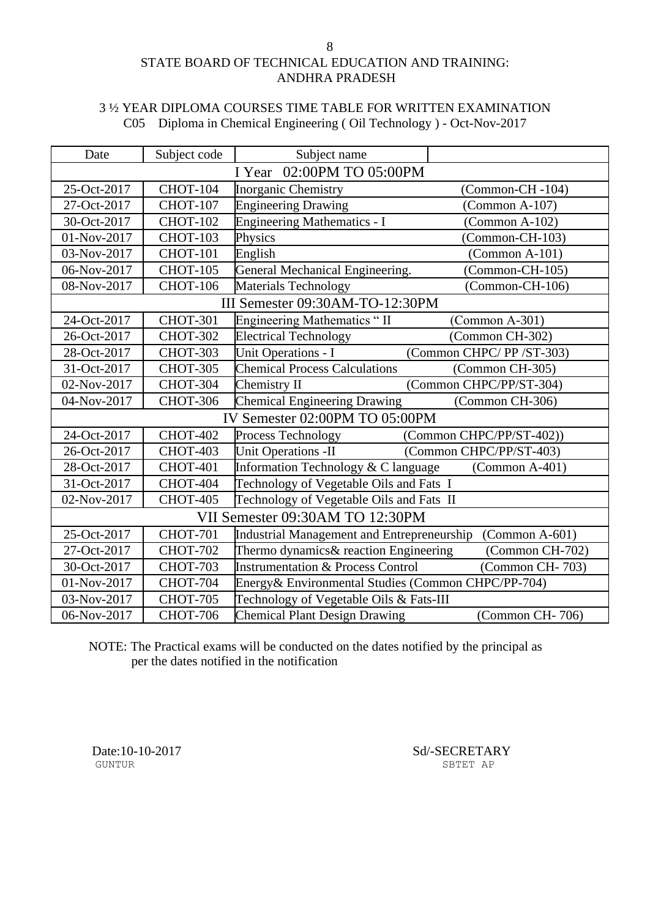## STATE BOARD OF TECHNICAL EDUCATION AND TRAINING: ANDHRA PRADESH

### 3 ½ YEAR DIPLOMA COURSES TIME TABLE FOR WRITTEN EXAMINATION C05 Diploma in Chemical Engineering ( Oil Technology ) - Oct-Nov-2017

| Date                      | Subject code    | Subject name                                       |                          |
|---------------------------|-----------------|----------------------------------------------------|--------------------------|
| I Year 02:00PM TO 05:00PM |                 |                                                    |                          |
| 25-Oct-2017               | <b>CHOT-104</b> | Inorganic Chemistry                                | (Common-CH-104)          |
| 27-Oct-2017               | <b>CHOT-107</b> | <b>Engineering Drawing</b>                         | $(Common A-107)$         |
| 30-Oct-2017               | <b>CHOT-102</b> | <b>Engineering Mathematics - I</b>                 | (Common A-102)           |
| 01-Nov-2017               | <b>CHOT-103</b> | Physics                                            | $(Common-CH-103)$        |
| 03-Nov-2017               | <b>CHOT-101</b> | English                                            | $(Common A-101)$         |
| 06-Nov-2017               | <b>CHOT-105</b> | General Mechanical Engineering.                    | $(Common-CH-105)$        |
| 08-Nov-2017               | <b>CHOT-106</b> | Materials Technology                               | (Common-CH-106)          |
|                           |                 | III Semester 09:30AM-TO-12:30PM                    |                          |
| 24-Oct-2017               | <b>CHOT-301</b> | Engineering Mathematics "II                        | $(Common A-301)$         |
| 26-Oct-2017               | <b>CHOT-302</b> | <b>Electrical Technology</b>                       | (Common CH-302)          |
| 28-Oct-2017               | <b>CHOT-303</b> | <b>Unit Operations - I</b>                         | (Common CHPC/PP/ST-303)  |
| 31-Oct-2017               | CHOT-305        | <b>Chemical Process Calculations</b>               | (Common CH-305)          |
| 02-Nov-2017               | CHOT-304        | Chemistry II                                       | (Common CHPC/PP/ST-304)  |
| 04-Nov-2017               | <b>CHOT-306</b> | <b>Chemical Engineering Drawing</b>                | (Common CH-306)          |
|                           |                 | IV Semester 02:00PM TO 05:00PM                     |                          |
| 24-Oct-2017               | <b>CHOT-402</b> | Process Technology                                 | (Common CHPC/PP/ST-402)) |
| 26-Oct-2017               | <b>CHOT-403</b> | <b>Unit Operations -II</b>                         | (Common CHPC/PP/ST-403)  |
| 28-Oct-2017               | <b>CHOT-401</b> | Information Technology & C language                | $(Common A-401)$         |
| 31-Oct-2017               | CHOT-404        | Technology of Vegetable Oils and Fats I            |                          |
| 02-Nov-2017               | <b>CHOT-405</b> | Technology of Vegetable Oils and Fats II           |                          |
|                           |                 | VII Semester 09:30AM TO 12:30PM                    |                          |
| 25-Oct-2017               | <b>CHOT-701</b> | Industrial Management and Entrepreneurship         | $(Common A-601)$         |
| 27-Oct-2017               | <b>CHOT-702</b> | Thermo dynamics& reaction Engineering              | (Common CH-702)          |
| 30-Oct-2017               | <b>CHOT-703</b> | <b>Instrumentation &amp; Process Control</b>       | (Common CH-703)          |
| 01-Nov-2017               | <b>CHOT-704</b> | Energy& Environmental Studies (Common CHPC/PP-704) |                          |
| 03-Nov-2017               | <b>CHOT-705</b> | Technology of Vegetable Oils & Fats-III            |                          |
| 06-Nov-2017               | <b>CHOT-706</b> | <b>Chemical Plant Design Drawing</b>               | (Common CH-706)          |

NOTE: The Practical exams will be conducted on the dates notified by the principal as per the dates notified in the notification

Date:10-10-2017 Sd/-SECRETARY SUNTUR SUNTUR SECRETARY SBTET AP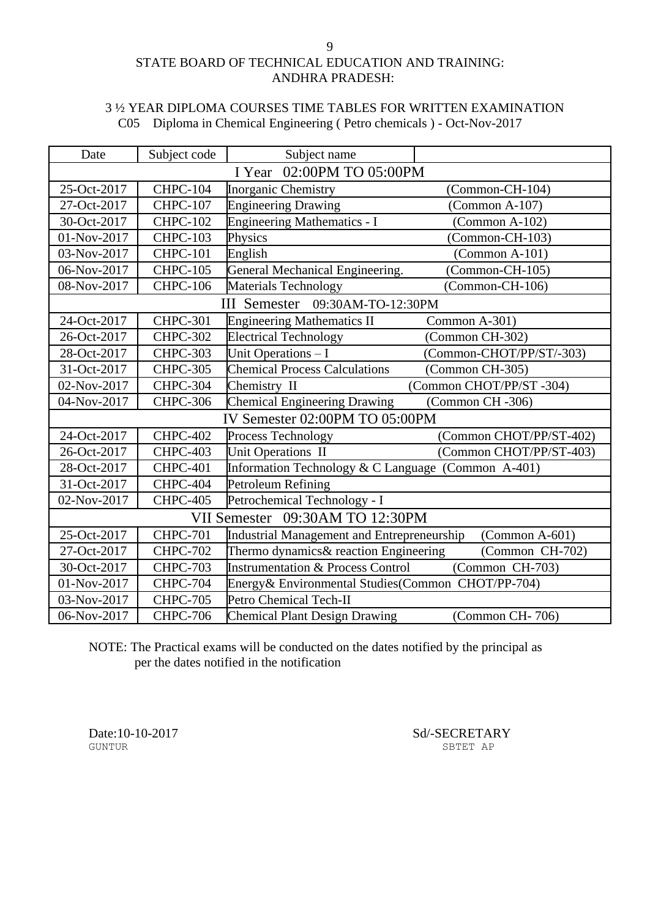## STATE BOARD OF TECHNICAL EDUCATION AND TRAINING: ANDHRA PRADESH:

### 3 ½ YEAR DIPLOMA COURSES TIME TABLES FOR WRITTEN EXAMINATION C05 Diploma in Chemical Engineering ( Petro chemicals ) - Oct-Nov-2017

| Date                      | Subject code                   | Subject name                                       |                          |  |
|---------------------------|--------------------------------|----------------------------------------------------|--------------------------|--|
| I Year 02:00PM TO 05:00PM |                                |                                                    |                          |  |
| 25-Oct-2017               | <b>CHPC-104</b>                | Inorganic Chemistry                                | (Common-CH-104)          |  |
| 27-Oct-2017               | <b>CHPC-107</b>                | <b>Engineering Drawing</b>                         | $(Common A-107)$         |  |
| 30-Oct-2017               | <b>CHPC-102</b>                | <b>Engineering Mathematics - I</b>                 | $(Common A-102)$         |  |
| 01-Nov-2017               | <b>CHPC-103</b>                | Physics                                            | $(Common-CH-103)$        |  |
| 03-Nov-2017               | <b>CHPC-101</b>                | English                                            | (Common A-101)           |  |
| 06-Nov-2017               | <b>CHPC-105</b>                | General Mechanical Engineering.                    | (Common-CH-105)          |  |
| 08-Nov-2017               | <b>CHPC-106</b>                | Materials Technology                               | (Common-CH-106)          |  |
|                           |                                | III Semester 09:30AM-TO-12:30PM                    |                          |  |
| 24-Oct-2017               | <b>CHPC-301</b>                | <b>Engineering Mathematics II</b>                  | Common A-301)            |  |
| 26-Oct-2017               | <b>CHPC-302</b>                | <b>Electrical Technology</b>                       | (Common CH-302)          |  |
| 28-Oct-2017               | <b>CHPC-303</b>                | Unit Operations - I                                | (Common-CHOT/PP/ST/-303) |  |
| 31-Oct-2017               | <b>CHPC-305</b>                | <b>Chemical Process Calculations</b>               | (Common CH-305)          |  |
| 02-Nov-2017               | CHPC-304                       | Chemistry II                                       | (Common CHOT/PP/ST-304)  |  |
| 04-Nov-2017               | <b>CHPC-306</b>                | Chemical Engineering Drawing                       | (Common CH -306)         |  |
|                           | IV Semester 02:00PM TO 05:00PM |                                                    |                          |  |
| 24-Oct-2017               | <b>CHPC-402</b>                | Process Technology                                 | (Common CHOT/PP/ST-402)  |  |
| 26-Oct-2017               | CHPC-403                       | Unit Operations II                                 | (Common CHOT/PP/ST-403)  |  |
| 28-Oct-2017               | <b>CHPC-401</b>                | Information Technology & C Language (Common A-401) |                          |  |
| 31-Oct-2017               | CHPC-404                       | Petroleum Refining                                 |                          |  |
| 02-Nov-2017               | <b>CHPC-405</b>                | Petrochemical Technology - I                       |                          |  |
|                           |                                | VII Semester 09:30AM TO 12:30PM                    |                          |  |
| 25-Oct-2017               | <b>CHPC-701</b>                | Industrial Management and Entrepreneurship         | $(Common A-601)$         |  |
| 27-Oct-2017               | <b>CHPC-702</b>                | Thermo dynamics& reaction Engineering              | (Common CH-702)          |  |
| 30-Oct-2017               | <b>CHPC-703</b>                | <b>Instrumentation &amp; Process Control</b>       | (Common CH-703)          |  |
| 01-Nov-2017               | <b>CHPC-704</b>                | Energy& Environmental Studies(Common CHOT/PP-704)  |                          |  |
| 03-Nov-2017               | <b>CHPC-705</b>                | Petro Chemical Tech-II                             |                          |  |
| 06-Nov-2017               | <b>CHPC-706</b>                | <b>Chemical Plant Design Drawing</b>               | (Common CH-706)          |  |

NOTE: The Practical exams will be conducted on the dates notified by the principal as per the dates notified in the notification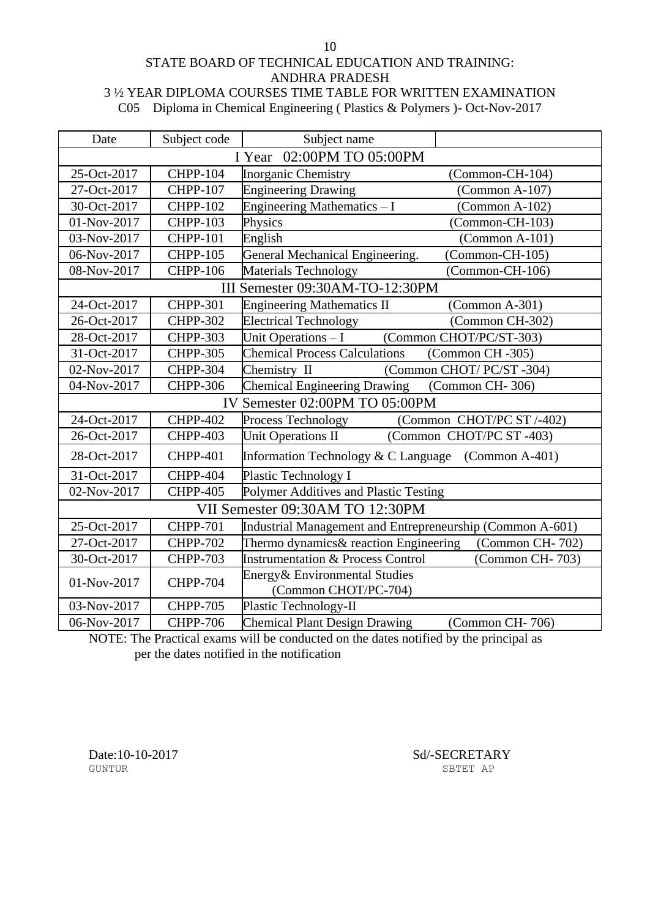### STATE BOARD OF TECHNICAL EDUCATION AND TRAINING: ANDHRA PRADESH 3 ½ YEAR DIPLOMA COURSES TIME TABLE FOR WRITTEN EXAMINATION C05 Diploma in Chemical Engineering ( Plastics & Polymers )- Oct-Nov-2017

| Date                      | Subject code                   | Subject name                                                    |  |
|---------------------------|--------------------------------|-----------------------------------------------------------------|--|
| I Year 02:00PM TO 05:00PM |                                |                                                                 |  |
| 25-Oct-2017               | <b>CHPP-104</b>                | <b>Inorganic Chemistry</b><br>(Common-CH-104)                   |  |
| 27-Oct-2017               | <b>CHPP-107</b>                | <b>Engineering Drawing</b><br>$(Common A-107)$                  |  |
| 30-Oct-2017               | <b>CHPP-102</b>                | Engineering Mathematics - I<br>(Common A-102)                   |  |
| 01-Nov-2017               | <b>CHPP-103</b>                | Physics<br>(Common-CH-103)                                      |  |
| 03-Nov-2017               | <b>CHPP-101</b>                | English<br>$(Common A-101)$                                     |  |
| 06-Nov-2017               | <b>CHPP-105</b>                | General Mechanical Engineering.<br>(Common-CH-105)              |  |
| 08-Nov-2017               | <b>CHPP-106</b>                | Materials Technology<br>(Common-CH-106)                         |  |
|                           |                                | III Semester 09:30AM-TO-12:30PM                                 |  |
| 24-Oct-2017               | <b>CHPP-301</b>                | <b>Engineering Mathematics II</b><br>$(Common A-301)$           |  |
| 26-Oct-2017               | <b>CHPP-302</b>                | <b>Electrical Technology</b><br>(Common CH-302)                 |  |
| 28-Oct-2017               | <b>CHPP-303</b>                | Unit Operations - I<br>(Common CHOT/PC/ST-303)                  |  |
| 31-Oct-2017               | <b>CHPP-305</b>                | <b>Chemical Process Calculations</b><br>(Common CH -305)        |  |
| 02-Nov-2017               | <b>CHPP-304</b>                | (Common CHOT/ PC/ST-304)<br>Chemistry II                        |  |
| 04-Nov-2017               | <b>CHPP-306</b>                | <b>Chemical Engineering Drawing</b><br>(Common CH-306)          |  |
|                           | IV Semester 02:00PM TO 05:00PM |                                                                 |  |
| 24-Oct-2017               | <b>CHPP-402</b>                | Process Technology<br>(Common CHOT/PC ST /-402)                 |  |
| 26-Oct-2017               | <b>CHPP-403</b>                | <b>Unit Operations II</b><br>(Common CHOT/PC ST-403)            |  |
| 28-Oct-2017               | <b>CHPP-401</b>                | Information Technology & C Language (Common A-401)              |  |
| 31-Oct-2017               | <b>CHPP-404</b>                | <b>Plastic Technology I</b>                                     |  |
| 02-Nov-2017               | <b>CHPP-405</b>                | Polymer Additives and Plastic Testing                           |  |
|                           |                                | VII Semester 09:30AM TO 12:30PM                                 |  |
| 25-Oct-2017               | <b>CHPP-701</b>                | Industrial Management and Entrepreneurship (Common A-601)       |  |
| 27-Oct-2017               | <b>CHPP-702</b>                | Thermo dynamics& reaction Engineering<br>(Common CH-702)        |  |
| 30-Oct-2017               | <b>CHPP-703</b>                | <b>Instrumentation &amp; Process Control</b><br>(Common CH-703) |  |
| 01-Nov-2017               | <b>CHPP-704</b>                | Energy& Environmental Studies<br>(Common CHOT/PC-704)           |  |
| 03-Nov-2017               | <b>CHPP-705</b>                | Plastic Technology-II                                           |  |
| 06-Nov-2017               | <b>CHPP-706</b>                | <b>Chemical Plant Design Drawing</b><br>(Common CH-706)         |  |

NOTE: The Practical exams will be conducted on the dates notified by the principal as per the dates notified in the notification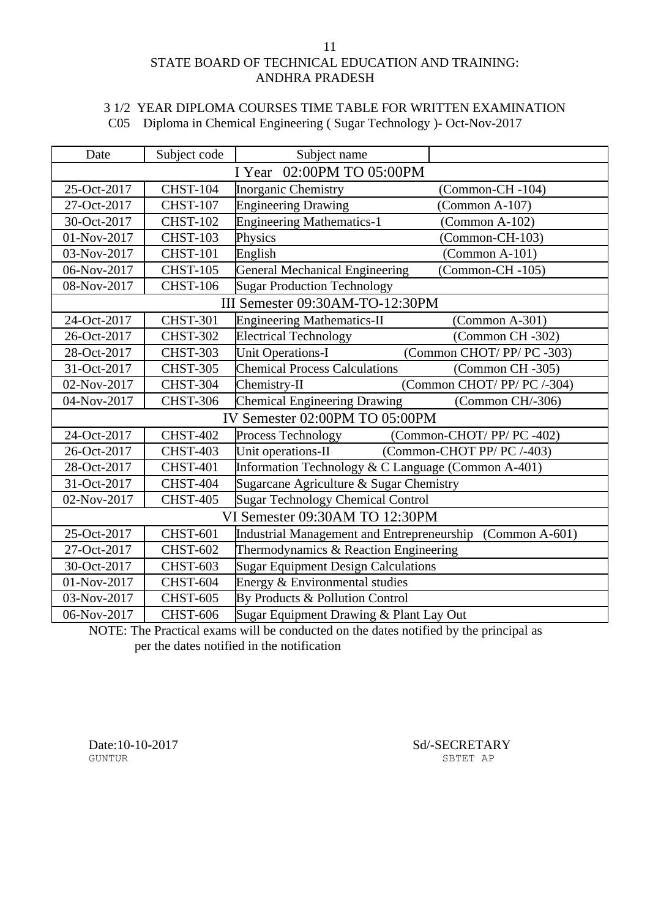## STATE BOARD OF TECHNICAL EDUCATION AND TRAINING: ANDHRA PRADESH

## 3 1/2 YEAR DIPLOMA COURSES TIME TABLE FOR WRITTEN EXAMINATION C05 Diploma in Chemical Engineering ( Sugar Technology )- Oct-Nov-2017

| Date                           | Subject code    | Subject name                                              |                            |  |
|--------------------------------|-----------------|-----------------------------------------------------------|----------------------------|--|
| I Year 02:00PM TO 05:00PM      |                 |                                                           |                            |  |
| 25-Oct-2017                    | <b>CHST-104</b> | Inorganic Chemistry                                       | (Common-CH-104)            |  |
| 27-Oct-2017                    | <b>CHST-107</b> | <b>Engineering Drawing</b>                                | $(Common A-107)$           |  |
| 30-Oct-2017                    | <b>CHST-102</b> | <b>Engineering Mathematics-1</b>                          | (Common A-102)             |  |
| 01-Nov-2017                    | <b>CHST-103</b> | Physics                                                   | (Common-CH-103)            |  |
| 03-Nov-2017                    | <b>CHST-101</b> | English                                                   | $(Common A-101)$           |  |
| 06-Nov-2017                    | <b>CHST-105</b> | <b>General Mechanical Engineering</b>                     | (Common-CH-105)            |  |
| 08-Nov-2017                    | <b>CHST-106</b> | <b>Sugar Production Technology</b>                        |                            |  |
|                                |                 | III Semester 09:30AM-TO-12:30PM                           |                            |  |
| 24-Oct-2017                    | <b>CHST-301</b> | <b>Engineering Mathematics-II</b>                         | $(Common A-301)$           |  |
| 26-Oct-2017                    | <b>CHST-302</b> | <b>Electrical Technology</b>                              | (Common CH -302)           |  |
| 28-Oct-2017                    | <b>CHST-303</b> | <b>Unit Operations-I</b>                                  | (Common CHOT/PP/PC-303)    |  |
| 31-Oct-2017                    | <b>CHST-305</b> | <b>Chemical Process Calculations</b>                      | (Common CH-305)            |  |
| 02-Nov-2017                    | <b>CHST-304</b> | Chemistry-II                                              | (Common CHOT/PP/PC/-304)   |  |
| 04-Nov-2017                    | <b>CHST-306</b> | <b>Chemical Engineering Drawing</b>                       | (Common CH/-306)           |  |
| IV Semester 02:00PM TO 05:00PM |                 |                                                           |                            |  |
| 24-Oct-2017                    | <b>CHST-402</b> | Process Technology                                        | (Common-CHOT/PP/PC-402)    |  |
| 26-Oct-2017                    | <b>CHST-403</b> | Unit operations-II                                        | (Common-CHOT PP/ PC /-403) |  |
| 28-Oct-2017                    | <b>CHST-401</b> | Information Technology & C Language (Common A-401)        |                            |  |
| 31-Oct-2017                    | <b>CHST-404</b> | Sugarcane Agriculture & Sugar Chemistry                   |                            |  |
| 02-Nov-2017                    | <b>CHST-405</b> | <b>Sugar Technology Chemical Control</b>                  |                            |  |
|                                |                 | VI Semester 09:30AM TO 12:30PM                            |                            |  |
| 25-Oct-2017                    | <b>CHST-601</b> | Industrial Management and Entrepreneurship (Common A-601) |                            |  |
| 27-Oct-2017                    | <b>CHST-602</b> | Thermodynamics & Reaction Engineering                     |                            |  |
| 30-Oct-2017                    | <b>CHST-603</b> | <b>Sugar Equipment Design Calculations</b>                |                            |  |
| 01-Nov-2017                    | <b>CHST-604</b> | Energy & Environmental studies                            |                            |  |
| 03-Nov-2017                    | <b>CHST-605</b> | By Products & Pollution Control                           |                            |  |
| 06-Nov-2017                    | <b>CHST-606</b> | Sugar Equipment Drawing & Plant Lay Out                   |                            |  |

NOTE: The Practical exams will be conducted on the dates notified by the principal as per the dates notified in the notification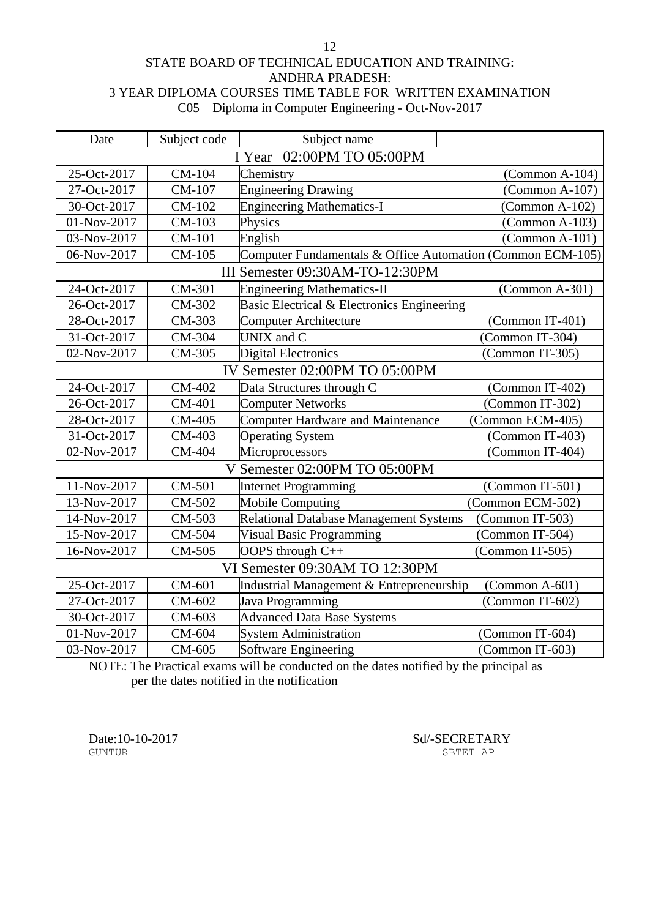### STATE BOARD OF TECHNICAL EDUCATION AND TRAINING: ANDHRA PRADESH: 3 YEAR DIPLOMA COURSES TIME TABLE FOR WRITTEN EXAMINATION C05 Diploma in Computer Engineering - Oct-Nov-2017

| Date                           | Subject code                   | Subject name                                               |                  |  |
|--------------------------------|--------------------------------|------------------------------------------------------------|------------------|--|
| 02:00PM TO 05:00PM<br>I Year   |                                |                                                            |                  |  |
| 25-Oct-2017                    | CM-104                         | Chemistry                                                  | $(Common A-104)$ |  |
| 27-Oct-2017                    | CM-107                         | <b>Engineering Drawing</b>                                 | $(Common A-107)$ |  |
| 30-Oct-2017                    | CM-102                         | <b>Engineering Mathematics-I</b>                           | $(Common A-102)$ |  |
| 01-Nov-2017                    | CM-103                         | Physics                                                    | $(Common A-103)$ |  |
| 03-Nov-2017                    | CM-101                         | English                                                    | $(Common A-101)$ |  |
| 06-Nov-2017                    | CM-105                         | Computer Fundamentals & Office Automation (Common ECM-105) |                  |  |
|                                |                                | III Semester 09:30AM-TO-12:30PM                            |                  |  |
| 24-Oct-2017                    | CM-301                         | <b>Engineering Mathematics-II</b>                          | (Common A-301)   |  |
| 26-Oct-2017                    | CM-302                         | Basic Electrical & Electronics Engineering                 |                  |  |
| 28-Oct-2017                    | CM-303                         | <b>Computer Architecture</b>                               | (Common IT-401)  |  |
| 31-Oct-2017                    | CM-304                         | UNIX and C                                                 | (Common IT-304)  |  |
| 02-Nov-2017                    | CM-305                         | <b>Digital Electronics</b>                                 | (Common IT-305)  |  |
|                                | IV Semester 02:00PM TO 05:00PM |                                                            |                  |  |
| 24-Oct-2017                    | CM-402                         | Data Structures through C                                  | (Common IT-402)  |  |
| 26-Oct-2017                    | CM-401                         | <b>Computer Networks</b>                                   | (Common IT-302)  |  |
| 28-Oct-2017                    | CM-405                         | <b>Computer Hardware and Maintenance</b>                   | (Common ECM-405) |  |
| 31-Oct-2017                    | CM-403                         | <b>Operating System</b>                                    | (Common IT-403)  |  |
| 02-Nov-2017                    | CM-404                         | Microprocessors                                            | (Common IT-404)  |  |
|                                |                                | V Semester 02:00PM TO 05:00PM                              |                  |  |
| 11-Nov-2017                    | CM-501                         | <b>Internet Programming</b>                                | (Common IT-501)  |  |
| 13-Nov-2017                    | CM-502                         | <b>Mobile Computing</b>                                    | (Common ECM-502) |  |
| 14-Nov-2017                    | CM-503                         | <b>Relational Database Management Systems</b>              | (Common IT-503)  |  |
| 15-Nov-2017                    | CM-504                         | <b>Visual Basic Programming</b>                            | (Common IT-504)  |  |
| 16-Nov-2017                    | CM-505                         | OOPS through C++                                           | (Common IT-505)  |  |
| VI Semester 09:30AM TO 12:30PM |                                |                                                            |                  |  |
| 25-Oct-2017                    | CM-601                         | Industrial Management & Entrepreneurship                   | $(Common A-601)$ |  |
| 27-Oct-2017                    | CM-602                         | Java Programming                                           | (Common IT-602)  |  |
| 30-Oct-2017                    | CM-603                         | <b>Advanced Data Base Systems</b>                          |                  |  |
| 01-Nov-2017                    | CM-604                         | <b>System Administration</b>                               | (Common IT-604)  |  |
| 03-Nov-2017                    | CM-605                         | Software Engineering                                       | (Common IT-603)  |  |

NOTE: The Practical exams will be conducted on the dates notified by the principal as per the dates notified in the notification

Date:10-10-2017 Sd/-SECRETARY SUNTUR SECRETARY SBTET AP

12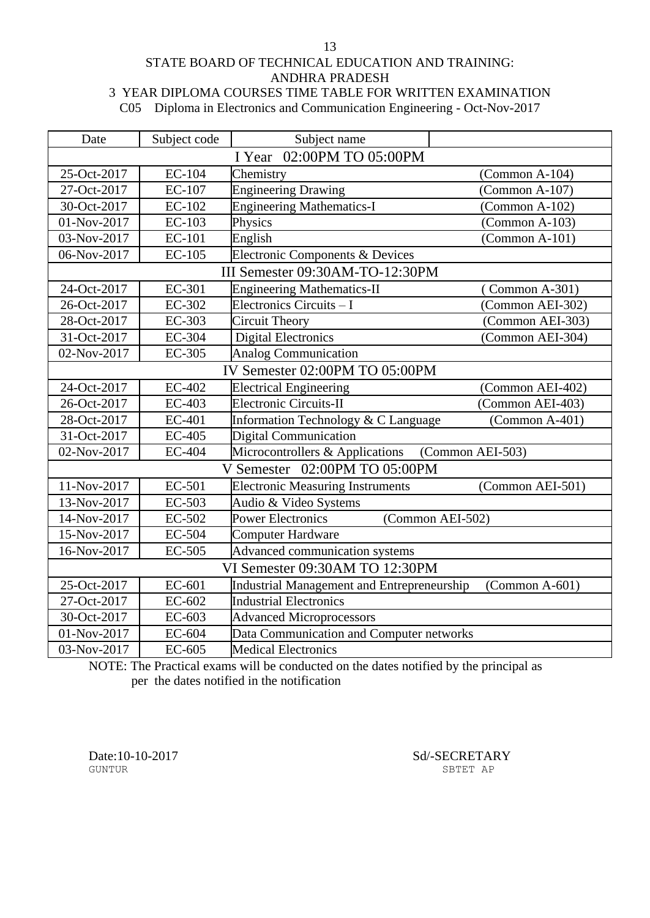### STATE BOARD OF TECHNICAL EDUCATION AND TRAINING: ANDHRA PRADESH 3 YEAR DIPLOMA COURSES TIME TABLE FOR WRITTEN EXAMINATION

C05 Diploma in Electronics and Communication Engineering - Oct-Nov-2017

| Date                      | Subject code                   | Subject name                               |                   |  |
|---------------------------|--------------------------------|--------------------------------------------|-------------------|--|
| I Year 02:00PM TO 05:00PM |                                |                                            |                   |  |
| 25-Oct-2017               | EC-104                         | Chemistry                                  | $(Common A-104)$  |  |
| 27-Oct-2017               | <b>EC-107</b>                  | <b>Engineering Drawing</b>                 | $(Common A-107)$  |  |
| 30-Oct-2017               | EC-102                         | <b>Engineering Mathematics-I</b>           | (Common $A-102$ ) |  |
| 01-Nov-2017               | EC-103                         | Physics                                    | $(Common A-103)$  |  |
| 03-Nov-2017               | EC-101                         | English                                    | (Common A-101)    |  |
| 06-Nov-2017               | <b>EC-105</b>                  | Electronic Components & Devices            |                   |  |
|                           |                                | III Semester 09:30AM-TO-12:30PM            |                   |  |
| 24-Oct-2017               | EC-301                         | <b>Engineering Mathematics-II</b>          | (Common A-301)    |  |
| 26-Oct-2017               | EC-302                         | Electronics Circuits - I                   | (Common AEI-302)  |  |
| 28-Oct-2017               | EC-303                         | <b>Circuit Theory</b>                      | (Common AEI-303)  |  |
| 31-Oct-2017               | EC-304                         | <b>Digital Electronics</b>                 | (Common AEI-304)  |  |
| 02-Nov-2017               | <b>EC-305</b>                  | <b>Analog Communication</b>                |                   |  |
|                           | IV Semester 02:00PM TO 05:00PM |                                            |                   |  |
| 24-Oct-2017               | EC-402                         | <b>Electrical Engineering</b>              | (Common AEI-402)  |  |
| 26-Oct-2017               | EC-403                         | <b>Electronic Circuits-II</b>              | (Common AEI-403)  |  |
| 28-Oct-2017               | EC-401                         | Information Technology & C Language        | $(Common A-401)$  |  |
| 31-Oct-2017               | EC-405                         | Digital Communication                      |                   |  |
| 02-Nov-2017               | <b>EC-404</b>                  | Microcontrollers & Applications            | (Common AEI-503)  |  |
|                           |                                | V Semester 02:00PM TO 05:00PM              |                   |  |
| 11-Nov-2017               | EC-501                         | <b>Electronic Measuring Instruments</b>    | (Common AEI-501)  |  |
| 13-Nov-2017               | EC-503                         | Audio & Video Systems                      |                   |  |
| 14-Nov-2017               | EC-502                         | <b>Power Electronics</b>                   | (Common AEI-502)  |  |
| 15-Nov-2017               | EC-504                         | <b>Computer Hardware</b>                   |                   |  |
| 16-Nov-2017               | EC-505                         | Advanced communication systems             |                   |  |
|                           |                                | VI Semester 09:30AM TO 12:30PM             |                   |  |
| 25-Oct-2017               | EC-601                         | Industrial Management and Entrepreneurship | $(Common A-601)$  |  |
| 27-Oct-2017               | EC-602                         | <b>Industrial Electronics</b>              |                   |  |
| 30-Oct-2017               | EC-603                         | <b>Advanced Microprocessors</b>            |                   |  |
| 01-Nov-2017               | EC-604                         | Data Communication and Computer networks   |                   |  |
| 03-Nov-2017               | EC-605                         | <b>Medical Electronics</b>                 |                   |  |

NOTE: The Practical exams will be conducted on the dates notified by the principal as per the dates notified in the notification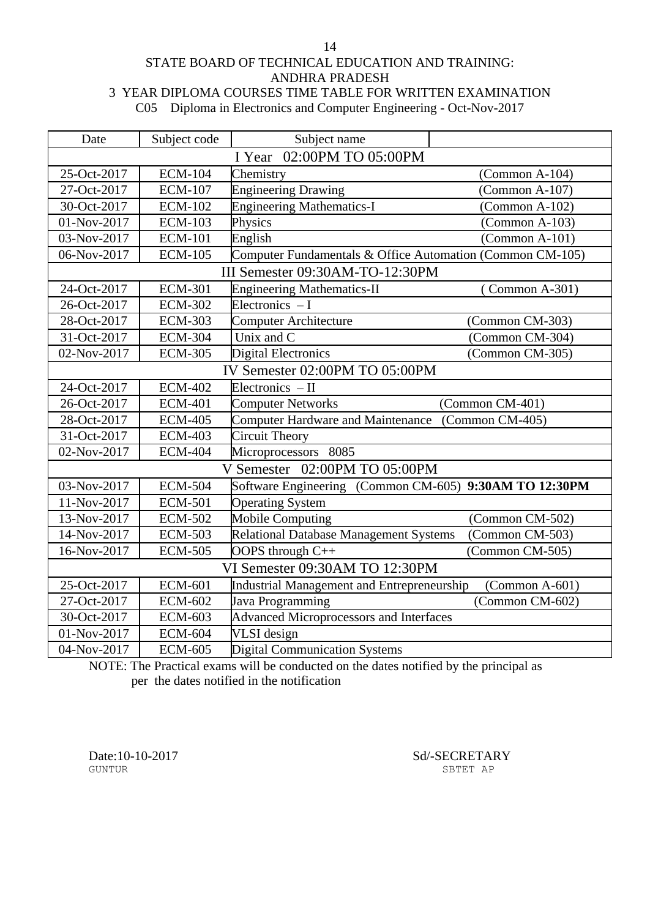STATE BOARD OF TECHNICAL EDUCATION AND TRAINING: ANDHRA PRADESH 3 YEAR DIPLOMA COURSES TIME TABLE FOR WRITTEN EXAMINATION

C05 Diploma in Electronics and Computer Engineering - Oct-Nov-2017

| Date                           | Subject code   | Subject name                                              |                  |
|--------------------------------|----------------|-----------------------------------------------------------|------------------|
| I Year 02:00PM TO 05:00PM      |                |                                                           |                  |
| 25-Oct-2017                    | <b>ECM-104</b> | Chemistry                                                 | $(Common A-104)$ |
| 27-Oct-2017                    | <b>ECM-107</b> | <b>Engineering Drawing</b>                                | $(Common A-107)$ |
| 30-Oct-2017                    | <b>ECM-102</b> | <b>Engineering Mathematics-I</b>                          | $(Common A-102)$ |
| 01-Nov-2017                    | <b>ECM-103</b> | Physics                                                   | $(Common A-103)$ |
| 03-Nov-2017                    | <b>ECM-101</b> | English                                                   | $(Common A-101)$ |
| 06-Nov-2017                    | <b>ECM-105</b> | Computer Fundamentals & Office Automation (Common CM-105) |                  |
|                                |                | III Semester 09:30AM-TO-12:30PM                           |                  |
| 24-Oct-2017                    | <b>ECM-301</b> | <b>Engineering Mathematics-II</b>                         | (Common A-301)   |
| 26-Oct-2017                    | <b>ECM-302</b> | Electronics $-I$                                          |                  |
| 28-Oct-2017                    | <b>ECM-303</b> | Computer Architecture                                     | (Common CM-303)  |
| 31-Oct-2017                    | <b>ECM-304</b> | Unix and C                                                | (Common CM-304)  |
| 02-Nov-2017                    | <b>ECM-305</b> | <b>Digital Electronics</b>                                | (Common CM-305)  |
| IV Semester 02:00PM TO 05:00PM |                |                                                           |                  |
| 24-Oct-2017                    | <b>ECM-402</b> | Electronics $-II$                                         |                  |
| 26-Oct-2017                    | <b>ECM-401</b> | <b>Computer Networks</b>                                  | (Common CM-401)  |
| 28-Oct-2017                    | <b>ECM-405</b> | <b>Computer Hardware and Maintenance</b>                  | (Common CM-405)  |
| 31-Oct-2017                    | <b>ECM-403</b> | <b>Circuit Theory</b>                                     |                  |
| 02-Nov-2017                    | <b>ECM-404</b> | Microprocessors 8085                                      |                  |
|                                |                | V Semester 02:00PM TO 05:00PM                             |                  |
| 03-Nov-2017                    | <b>ECM-504</b> | Software Engineering (Common CM-605) 9:30AM TO 12:30PM    |                  |
| 11-Nov-2017                    | <b>ECM-501</b> | <b>Operating System</b>                                   |                  |
| 13-Nov-2017                    | <b>ECM-502</b> | <b>Mobile Computing</b>                                   | (Common CM-502)  |
| 14-Nov-2017                    | <b>ECM-503</b> | Relational Database Management Systems                    | (Common CM-503)  |
| 16-Nov-2017                    | <b>ECM-505</b> | OOPS through C++                                          | (Common CM-505)  |
|                                |                | VI Semester 09:30AM TO 12:30PM                            |                  |
| 25-Oct-2017                    | <b>ECM-601</b> | Industrial Management and Entrepreneurship                | $(Common A-601)$ |
| 27-Oct-2017                    | <b>ECM-602</b> | Java Programming                                          | (Common CM-602)  |
| 30-Oct-2017                    | <b>ECM-603</b> | <b>Advanced Microprocessors and Interfaces</b>            |                  |
| 01-Nov-2017                    | <b>ECM-604</b> | VLSI design                                               |                  |
| 04-Nov-2017                    | <b>ECM-605</b> | <b>Digital Communication Systems</b>                      |                  |

NOTE: The Practical exams will be conducted on the dates notified by the principal as per the dates notified in the notification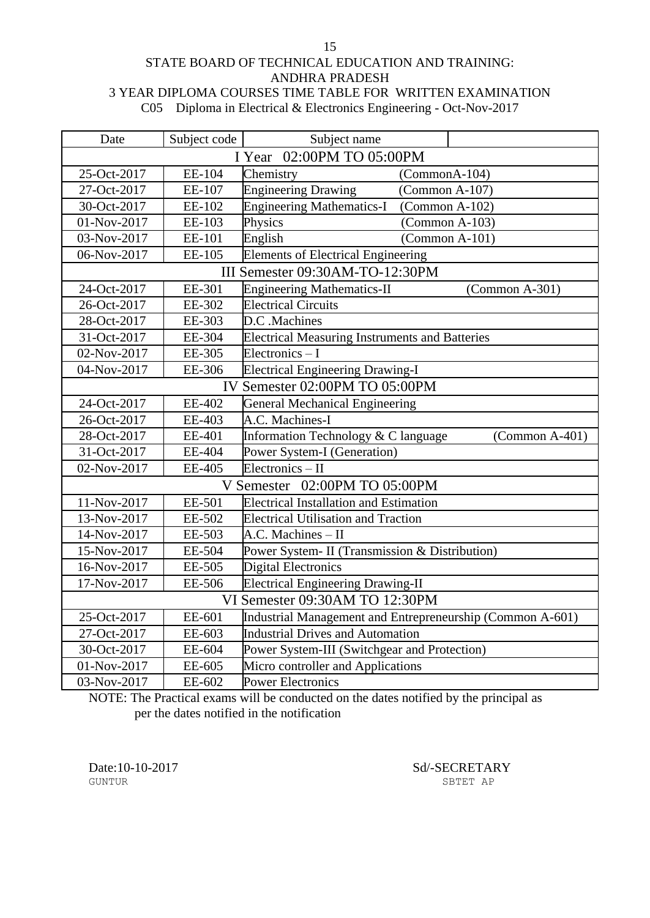### STATE BOARD OF TECHNICAL EDUCATION AND TRAINING: ANDHRA PRADESH 3 YEAR DIPLOMA COURSES TIME TABLE FOR WRITTEN EXAMINATION C05 Diploma in Electrical & Electronics Engineering - Oct-Nov-2017

| Date                      | Subject code | Subject name                                              |                  |
|---------------------------|--------------|-----------------------------------------------------------|------------------|
| I Year 02:00PM TO 05:00PM |              |                                                           |                  |
| 25-Oct-2017               | EE-104       | Chemistry                                                 | $(CommonA-104)$  |
| 27-Oct-2017               | EE-107       | <b>Engineering Drawing</b>                                | $(Common A-107)$ |
| 30-Oct-2017               | EE-102       | <b>Engineering Mathematics-I</b>                          | (Common A-102)   |
| 01-Nov-2017               | EE-103       | Physics                                                   | $(Common A-103)$ |
| 03-Nov-2017               | EE-101       | English                                                   | $(Common A-101)$ |
| 06-Nov-2017               | EE-105       | <b>Elements of Electrical Engineering</b>                 |                  |
|                           |              | III Semester 09:30AM-TO-12:30PM                           |                  |
| 24-Oct-2017               | EE-301       | <b>Engineering Mathematics-II</b>                         | $(Common A-301)$ |
| 26-Oct-2017               | EE-302       | <b>Electrical Circuits</b>                                |                  |
| 28-Oct-2017               | EE-303       | D.C.Machines                                              |                  |
| 31-Oct-2017               | EE-304       | <b>Electrical Measuring Instruments and Batteries</b>     |                  |
| 02-Nov-2017               | EE-305       | $Electronic - I$                                          |                  |
| 04-Nov-2017               | EE-306       | <b>Electrical Engineering Drawing-I</b>                   |                  |
|                           |              | IV Semester 02:00PM TO 05:00PM                            |                  |
| 24-Oct-2017               | EE-402       | <b>General Mechanical Engineering</b>                     |                  |
| 26-Oct-2017               | EE-403       | A.C. Machines-I                                           |                  |
| 28-Oct-2017               | EE-401       | Information Technology & C language                       | $(Common A-401)$ |
| 31-Oct-2017               | EE-404       | Power System-I (Generation)                               |                  |
| 02-Nov-2017               | EE-405       | Electronics - II                                          |                  |
|                           |              | V Semester 02:00PM TO 05:00PM                             |                  |
| 11-Nov-2017               | EE-501       | <b>Electrical Installation and Estimation</b>             |                  |
| 13-Nov-2017               | EE-502       | <b>Electrical Utilisation and Traction</b>                |                  |
| 14-Nov-2017               | EE-503       | A.C. Machines - II                                        |                  |
| 15-Nov-2017               | EE-504       | Power System- II (Transmission & Distribution)            |                  |
| 16-Nov-2017               | EE-505       | <b>Digital Electronics</b>                                |                  |
| 17-Nov-2017               | EE-506       | <b>Electrical Engineering Drawing-II</b>                  |                  |
|                           |              | VI Semester 09:30AM TO 12:30PM                            |                  |
| 25-Oct-2017               | EE-601       | Industrial Management and Entrepreneurship (Common A-601) |                  |
| 27-Oct-2017               | EE-603       | <b>Industrial Drives and Automation</b>                   |                  |
| 30-Oct-2017               | EE-604       | Power System-III (Switchgear and Protection)              |                  |
| 01-Nov-2017               | EE-605       | Micro controller and Applications                         |                  |
| 03-Nov-2017               | EE-602       | <b>Power Electronics</b>                                  |                  |

NOTE: The Practical exams will be conducted on the dates notified by the principal as per the dates notified in the notification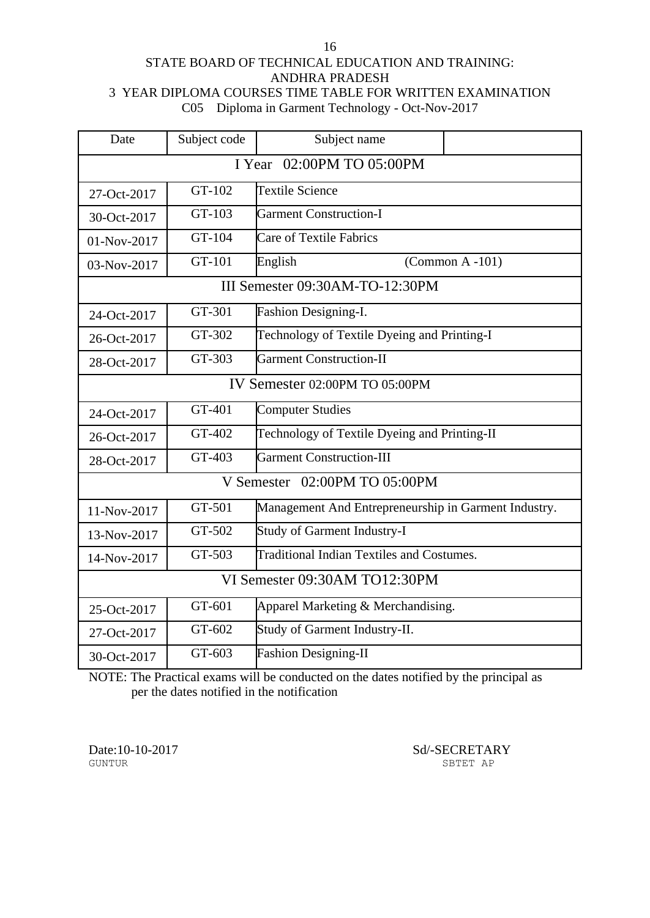#### STATE BOARD OF TECHNICAL EDUCATION AND TRAINING: ANDHRA PRADESH 3 YEAR DIPLOMA COURSES TIME TABLE FOR WRITTEN EXAMINATION C05 Diploma in Garment Technology - Oct-Nov-2017

| Date                          | Subject code                   | Subject name                                         |  |  |
|-------------------------------|--------------------------------|------------------------------------------------------|--|--|
| 02:00PM TO 05:00PM<br>I Year  |                                |                                                      |  |  |
| 27-Oct-2017                   | GT-102                         | Textile Science                                      |  |  |
| 30-Oct-2017                   | GT-103                         | <b>Garment Construction-I</b>                        |  |  |
| 01-Nov-2017                   | GT-104                         | <b>Care of Textile Fabrics</b>                       |  |  |
| 03-Nov-2017                   | GT-101                         | English<br>$(Common A - 101)$                        |  |  |
|                               |                                | III Semester 09:30AM-TO-12:30PM                      |  |  |
| 24-Oct-2017                   | GT-301                         | Fashion Designing-I.                                 |  |  |
| 26-Oct-2017                   | GT-302                         | Technology of Textile Dyeing and Printing-I          |  |  |
| 28-Oct-2017                   | GT-303                         | <b>Garment Construction-II</b>                       |  |  |
|                               | IV Semester 02:00PM TO 05:00PM |                                                      |  |  |
| 24-Oct-2017                   | GT-401                         | <b>Computer Studies</b>                              |  |  |
| 26-Oct-2017                   | GT-402                         | Technology of Textile Dyeing and Printing-II         |  |  |
| 28-Oct-2017                   | GT-403                         | <b>Garment Construction-III</b>                      |  |  |
|                               |                                | V Semester 02:00PM TO 05:00PM                        |  |  |
| 11-Nov-2017                   | GT-501                         | Management And Entrepreneurship in Garment Industry. |  |  |
| 13-Nov-2017                   | GT-502                         | <b>Study of Garment Industry-I</b>                   |  |  |
| 14-Nov-2017                   | GT-503                         | <b>Traditional Indian Textiles and Costumes.</b>     |  |  |
| VI Semester 09:30AM TO12:30PM |                                |                                                      |  |  |
| 25-Oct-2017                   | GT-601                         | Apparel Marketing & Merchandising.                   |  |  |
| 27-Oct-2017                   | GT-602                         | Study of Garment Industry-II.                        |  |  |
| 30-Oct-2017                   | GT-603                         | <b>Fashion Designing-II</b>                          |  |  |

NOTE: The Practical exams will be conducted on the dates notified by the principal as per the dates notified in the notification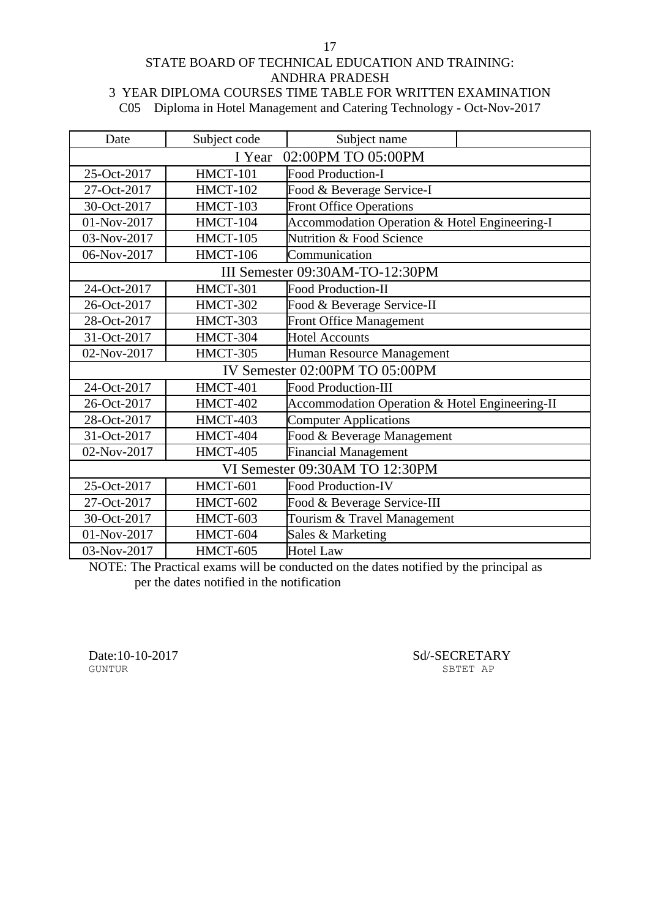### STATE BOARD OF TECHNICAL EDUCATION AND TRAINING: ANDHRA PRADESH 3 YEAR DIPLOMA COURSES TIME TABLE FOR WRITTEN EXAMINATION

C05 Diploma in Hotel Management and Catering Technology - Oct-Nov-2017

| Date        | Subject code                 | Subject name                                   |  |  |  |
|-------------|------------------------------|------------------------------------------------|--|--|--|
|             | 02:00PM TO 05:00PM<br>I Year |                                                |  |  |  |
| 25-Oct-2017 | <b>HMCT-101</b>              | <b>Food Production-I</b>                       |  |  |  |
| 27-Oct-2017 | <b>HMCT-102</b>              | Food & Beverage Service-I                      |  |  |  |
| 30-Oct-2017 | HMCT-103                     | <b>Front Office Operations</b>                 |  |  |  |
| 01-Nov-2017 | HMCT-104                     | Accommodation Operation & Hotel Engineering-I  |  |  |  |
| 03-Nov-2017 | HMCT-105                     | <b>Nutrition &amp; Food Science</b>            |  |  |  |
| 06-Nov-2017 | HMCT-106                     | Communication                                  |  |  |  |
|             |                              | III Semester 09:30AM-TO-12:30PM                |  |  |  |
| 24-Oct-2017 | HMCT-301                     | <b>Food Production-II</b>                      |  |  |  |
| 26-Oct-2017 | HMCT-302                     | Food & Beverage Service-II                     |  |  |  |
| 28-Oct-2017 | HMCT-303                     | <b>Front Office Management</b>                 |  |  |  |
| 31-Oct-2017 | HMCT-304                     | <b>Hotel Accounts</b>                          |  |  |  |
| 02-Nov-2017 | HMCT-305                     | Human Resource Management                      |  |  |  |
|             |                              | IV Semester 02:00PM TO 05:00PM                 |  |  |  |
| 24-Oct-2017 | HMCT-401                     | <b>Food Production-III</b>                     |  |  |  |
| 26-Oct-2017 | HMCT-402                     | Accommodation Operation & Hotel Engineering-II |  |  |  |
| 28-Oct-2017 | HMCT-403                     | <b>Computer Applications</b>                   |  |  |  |
| 31-Oct-2017 | HMCT-404                     | Food & Beverage Management                     |  |  |  |
| 02-Nov-2017 | HMCT-405                     | <b>Financial Management</b>                    |  |  |  |
|             |                              | VI Semester 09:30AM TO 12:30PM                 |  |  |  |
| 25-Oct-2017 | HMCT-601                     | <b>Food Production-IV</b>                      |  |  |  |
| 27-Oct-2017 | HMCT-602                     | Food & Beverage Service-III                    |  |  |  |
| 30-Oct-2017 | HMCT-603                     | Tourism & Travel Management                    |  |  |  |
| 01-Nov-2017 | HMCT-604                     | Sales & Marketing                              |  |  |  |
| 03-Nov-2017 | HMCT-605                     | <b>Hotel Law</b>                               |  |  |  |

NOTE: The Practical exams will be conducted on the dates notified by the principal as per the dates notified in the notification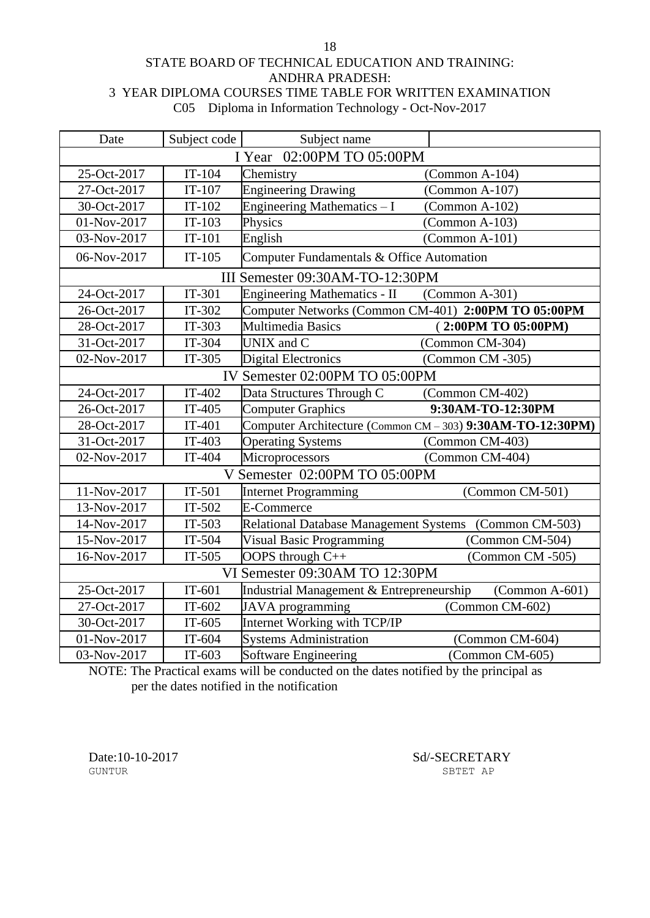STATE BOARD OF TECHNICAL EDUCATION AND TRAINING: ANDHRA PRADESH: 3 YEAR DIPLOMA COURSES TIME TABLE FOR WRITTEN EXAMINATION C05 Diploma in Information Technology - Oct-Nov-2017

| Date                         | Subject code | Subject name                                           |                                                            |
|------------------------------|--------------|--------------------------------------------------------|------------------------------------------------------------|
| 02:00PM TO 05:00PM<br>I Year |              |                                                        |                                                            |
| 25-Oct-2017                  | $IT-104$     | Chemistry                                              | $(Common A-104)$                                           |
| 27-Oct-2017                  | $IT-107$     | <b>Engineering Drawing</b>                             | $(Common A-107)$                                           |
| 30-Oct-2017                  | $IT-102$     | Engineering Mathematics - I                            | (Common A-102)                                             |
| 01-Nov-2017                  | $IT-103$     | Physics                                                | $(Common A-103)$                                           |
| 03-Nov-2017                  | $IT-101$     | English                                                | $(Common A-101)$                                           |
| 06-Nov-2017                  | $IT-105$     | Computer Fundamentals & Office Automation              |                                                            |
|                              |              | III Semester 09:30AM-TO-12:30PM                        |                                                            |
| 24-Oct-2017                  | IT-301       | <b>Engineering Mathematics - II</b>                    | $(Common A-301)$                                           |
| 26-Oct-2017                  | IT-302       | Computer Networks (Common CM-401) 2:00PM TO 05:00PM    |                                                            |
| 28-Oct-2017                  | IT-303       | <b>Multimedia Basics</b>                               | (2:00PM TO 05:00PM)                                        |
| 31-Oct-2017                  | IT-304       | UNIX and C                                             | (Common CM-304)                                            |
| 02-Nov-2017                  | IT-305       | <b>Digital Electronics</b>                             | (Common CM -305)                                           |
|                              |              | IV Semester 02:00PM TO 05:00PM                         |                                                            |
| 24-Oct-2017                  | IT-402       | Data Structures Through C                              | (Common CM-402)                                            |
| 26-Oct-2017                  | IT-405       | <b>Computer Graphics</b>                               | 9:30AM-TO-12:30PM                                          |
| 28-Oct-2017                  | $IT-401$     |                                                        | Computer Architecture (Common CM - 303) 9:30AM-TO-12:30PM) |
| 31-Oct-2017                  | IT-403       | <b>Operating Systems</b>                               | (Common CM-403)                                            |
| 02-Nov-2017                  | IT-404       | Microprocessors                                        | (Common CM-404)                                            |
|                              |              | V Semester 02:00PM TO 05:00PM                          |                                                            |
| 11-Nov-2017                  | $IT-501$     | <b>Internet Programming</b>                            | (Common CM-501)                                            |
| 13-Nov-2017                  | IT-502       | E-Commerce                                             |                                                            |
| 14-Nov-2017                  | $IT-503$     | Relational Database Management Systems (Common CM-503) |                                                            |
| 15-Nov-2017                  | IT-504       | <b>Visual Basic Programming</b>                        | (Common CM-504)                                            |
| 16-Nov-2017                  | $IT-505$     | OOPS through C++                                       | (Common CM -505)                                           |
|                              |              | VI Semester 09:30AM TO 12:30PM                         |                                                            |
| 25-Oct-2017                  | $IT-601$     | Industrial Management & Entrepreneurship               | $(Common A-601)$                                           |
| 27-Oct-2017                  | IT-602       | JAVA programming                                       | (Common CM-602)                                            |
| 30-Oct-2017                  | IT-605       | Internet Working with TCP/IP                           |                                                            |
| 01-Nov-2017                  | IT-604       | <b>Systems Administration</b>                          | (Common CM-604)                                            |
| 03-Nov-2017                  | $IT-603$     | Software Engineering                                   | (Common CM-605)                                            |

NOTE: The Practical exams will be conducted on the dates notified by the principal as per the dates notified in the notification

Date:10-10-2017 Sd/-SECRETARY SUNTUR SETT AP SBTET AP

18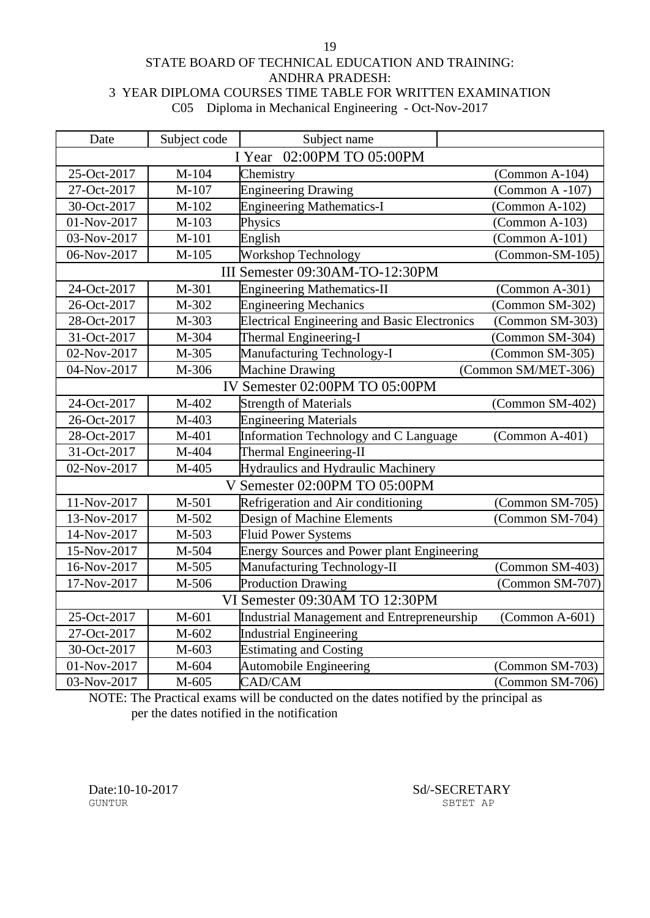#### STATE BOARD OF TECHNICAL EDUCATION AND TRAINING: ANDHRA PRADESH: 3 YEAR DIPLOMA COURSES TIME TABLE FOR WRITTEN EXAMINATION C05 Diploma in Mechanical Engineering - Oct-Nov-2017

19

| Date                         | Subject code                   | Subject name                                        |                          |  |
|------------------------------|--------------------------------|-----------------------------------------------------|--------------------------|--|
| 02:00PM TO 05:00PM<br>I Year |                                |                                                     |                          |  |
| 25-Oct-2017                  | M-104                          | Chemistry                                           | (Common A-104)           |  |
| 27-Oct-2017                  | M-107                          | <b>Engineering Drawing</b>                          | (Common A-107)           |  |
| 30-Oct-2017                  | $M-102$                        | <b>Engineering Mathematics-I</b>                    | (Common A-102)           |  |
| 01-Nov-2017                  | M-103                          | Physics                                             | $(Common A-103)$         |  |
| 03-Nov-2017                  | M-101                          | English                                             | $(Common A-101)$         |  |
| 06-Nov-2017                  | $M-105$                        | <b>Workshop Technology</b>                          | $(Common-SM-105)$        |  |
|                              |                                | III Semester 09:30AM-TO-12:30PM                     |                          |  |
| 24-Oct-2017                  | M-301                          | <b>Engineering Mathematics-II</b>                   | $(Common A-301)$         |  |
| 26-Oct-2017                  | M-302                          | <b>Engineering Mechanics</b>                        | (Common SM-302)          |  |
| 28-Oct-2017                  | M-303                          | <b>Electrical Engineering and Basic Electronics</b> | (Common SM-303)          |  |
| 31-Oct-2017                  | M-304                          | Thermal Engineering-I                               | (Common SM-304)          |  |
| 02-Nov-2017                  | M-305                          | Manufacturing Technology-I                          | (Common SM-305)          |  |
| 04-Nov-2017                  | M-306                          | <b>Machine Drawing</b>                              | (Common SM/MET-306)      |  |
|                              | IV Semester 02:00PM TO 05:00PM |                                                     |                          |  |
| 24-Oct-2017                  | M-402                          | <b>Strength of Materials</b>                        | (Common SM-402)          |  |
| 26-Oct-2017                  | M-403                          | <b>Engineering Materials</b>                        |                          |  |
| 28-Oct-2017                  | M-401                          | Information Technology and C Language               | $(Common A-401)$         |  |
| 31-Oct-2017                  | M-404                          | <b>Thermal Engineering-II</b>                       |                          |  |
| 02-Nov-2017                  | M-405                          | Hydraulics and Hydraulic Machinery                  |                          |  |
|                              |                                | V Semester 02:00PM TO 05:00PM                       |                          |  |
| 11-Nov-2017                  | M-501                          | Refrigeration and Air conditioning                  | (Common SM-705)          |  |
| 13-Nov-2017                  | M-502                          | Design of Machine Elements                          | (Common SM-704)          |  |
| 14-Nov-2017                  | M-503                          | <b>Fluid Power Systems</b>                          |                          |  |
| 15-Nov-2017                  | M-504                          | <b>Energy Sources and Power plant Engineering</b>   |                          |  |
| 16-Nov-2017                  | M-505                          | Manufacturing Technology-II                         | (Common SM-403)          |  |
| 17-Nov-2017                  | M-506                          | <b>Production Drawing</b>                           | (Common SM-707)          |  |
|                              |                                | VI Semester 09:30AM TO 12:30PM                      |                          |  |
| 25-Oct-2017                  | M-601                          | Industrial Management and Entrepreneurship          | $(Common A-601)$         |  |
| 27-Oct-2017                  | M-602                          | <b>Industrial Engineering</b>                       |                          |  |
| 30-Oct-2017                  | M-603                          | <b>Estimating and Costing</b>                       |                          |  |
| 01-Nov-2017                  | M-604                          | Automobile Engineering                              | (Common SM-703)          |  |
| 03-Nov-2017                  | M-605                          | CAD/CAM                                             | $\Gamma$ (Common SM-706) |  |

NOTE: The Practical exams will be conducted on the dates notified by the principal as per the dates notified in the notification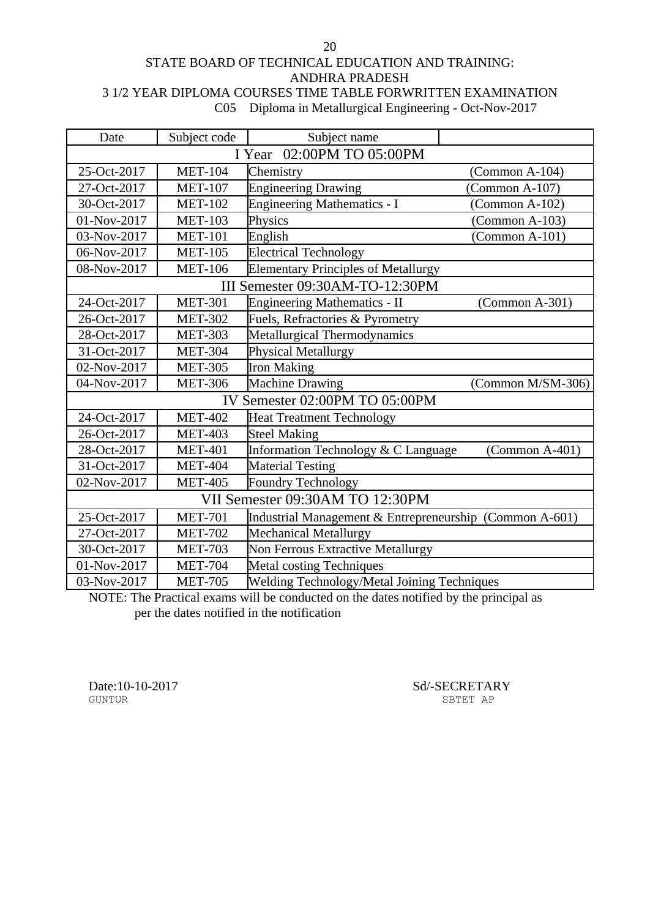STATE BOARD OF TECHNICAL EDUCATION AND TRAINING: ANDHRA PRADESH 3 1/2 YEAR DIPLOMA COURSES TIME TABLE FORWRITTEN EXAMINATION C05 Diploma in Metallurgical Engineering - Oct-Nov-2017

| Date        | Subject code                 | Subject name                                            |  |  |
|-------------|------------------------------|---------------------------------------------------------|--|--|
|             | 02:00PM TO 05:00PM<br>I Year |                                                         |  |  |
| 25-Oct-2017 | <b>MET-104</b>               | Chemistry<br>(Common A-104)                             |  |  |
| 27-Oct-2017 | <b>MET-107</b>               | <b>Engineering Drawing</b><br>$(Common A-107)$          |  |  |
| 30-Oct-2017 | <b>MET-102</b>               | <b>Engineering Mathematics - I</b><br>$(Common A-102)$  |  |  |
| 01-Nov-2017 | <b>MET-103</b>               | Physics<br>$(Common A-103)$                             |  |  |
| 03-Nov-2017 | <b>MET-101</b>               | English<br>$(Common A-101)$                             |  |  |
| 06-Nov-2017 | <b>MET-105</b>               | <b>Electrical Technology</b>                            |  |  |
| 08-Nov-2017 | <b>MET-106</b>               | <b>Elementary Principles of Metallurgy</b>              |  |  |
|             |                              | III Semester 09:30AM-TO-12:30PM                         |  |  |
| 24-Oct-2017 | <b>MET-301</b>               | <b>Engineering Mathematics - II</b><br>$(Common A-301)$ |  |  |
| 26-Oct-2017 | <b>MET-302</b>               | Fuels, Refractories & Pyrometry                         |  |  |
| 28-Oct-2017 | <b>MET-303</b>               | Metallurgical Thermodynamics                            |  |  |
| 31-Oct-2017 | <b>MET-304</b>               | Physical Metallurgy                                     |  |  |
| 02-Nov-2017 | <b>MET-305</b>               | <b>Iron Making</b>                                      |  |  |
| 04-Nov-2017 | <b>MET-306</b>               | <b>Machine Drawing</b><br>(Common M/SM-306)             |  |  |
|             |                              | IV Semester 02:00PM TO 05:00PM                          |  |  |
| 24-Oct-2017 | <b>MET-402</b>               | <b>Heat Treatment Technology</b>                        |  |  |
| 26-Oct-2017 | <b>MET-403</b>               | <b>Steel Making</b>                                     |  |  |
| 28-Oct-2017 | <b>MET-401</b>               | Information Technology & C Language<br>$(Common A-401)$ |  |  |
| 31-Oct-2017 | <b>MET-404</b>               | <b>Material Testing</b>                                 |  |  |
| 02-Nov-2017 | <b>MET-405</b>               | Foundry Technology                                      |  |  |
|             |                              | VII Semester 09:30AM TO 12:30PM                         |  |  |
| 25-Oct-2017 | <b>MET-701</b>               | Industrial Management & Entrepreneurship (Common A-601) |  |  |
| 27-Oct-2017 | <b>MET-702</b>               | Mechanical Metallurgy                                   |  |  |
| 30-Oct-2017 | <b>MET-703</b>               | Non Ferrous Extractive Metallurgy                       |  |  |
| 01-Nov-2017 | <b>MET-704</b>               | <b>Metal costing Techniques</b>                         |  |  |
| 03-Nov-2017 | <b>MET-705</b>               | Welding Technology/Metal Joining Techniques             |  |  |

NOTE: The Practical exams will be conducted on the dates notified by the principal as per the dates notified in the notification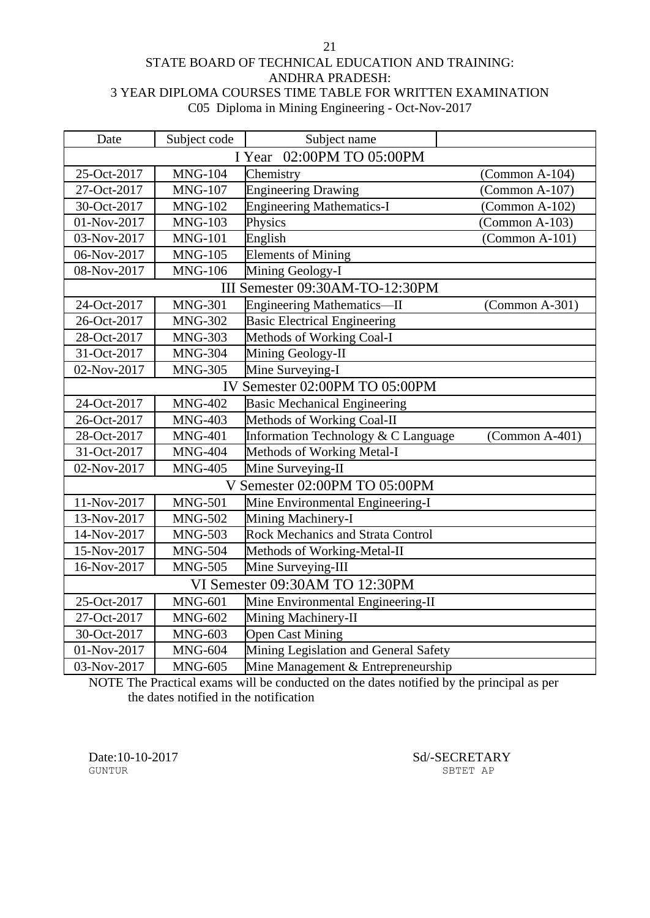### STATE BOARD OF TECHNICAL EDUCATION AND TRAINING: ANDHRA PRADESH: 3 YEAR DIPLOMA COURSES TIME TABLE FOR WRITTEN EXAMINATION C05 Diploma in Mining Engineering - Oct-Nov-2017

21

| Date                         | Subject code                   | Subject name                             |                  |  |
|------------------------------|--------------------------------|------------------------------------------|------------------|--|
| 02:00PM TO 05:00PM<br>I Year |                                |                                          |                  |  |
| 25-Oct-2017                  | <b>MNG-104</b>                 | Chemistry                                | (Common A-104)   |  |
| 27-Oct-2017                  | <b>MNG-107</b>                 | <b>Engineering Drawing</b>               | $(Common A-107)$ |  |
| 30-Oct-2017                  | <b>MNG-102</b>                 | <b>Engineering Mathematics-I</b>         | $(Common A-102)$ |  |
| 01-Nov-2017                  | <b>MNG-103</b>                 | Physics                                  | $(Common A-103)$ |  |
| 03-Nov-2017                  | <b>MNG-101</b>                 | English                                  | $(Common A-101)$ |  |
| 06-Nov-2017                  | <b>MNG-105</b>                 | <b>Elements of Mining</b>                |                  |  |
| 08-Nov-2017                  | <b>MNG-106</b>                 | Mining Geology-I                         |                  |  |
|                              |                                | III Semester 09:30AM-TO-12:30PM          |                  |  |
| 24-Oct-2017                  | <b>MNG-301</b>                 | <b>Engineering Mathematics—II</b>        | $(Common A-301)$ |  |
| 26-Oct-2017                  | <b>MNG-302</b>                 | <b>Basic Electrical Engineering</b>      |                  |  |
| 28-Oct-2017                  | <b>MNG-303</b>                 | Methods of Working Coal-I                |                  |  |
| 31-Oct-2017                  | <b>MNG-304</b>                 | Mining Geology-II                        |                  |  |
| 02-Nov-2017                  | <b>MNG-305</b>                 | Mine Surveying-I                         |                  |  |
|                              |                                | IV Semester 02:00PM TO 05:00PM           |                  |  |
| 24-Oct-2017                  | <b>MNG-402</b>                 | <b>Basic Mechanical Engineering</b>      |                  |  |
| 26-Oct-2017                  | <b>MNG-403</b>                 | Methods of Working Coal-II               |                  |  |
| 28-Oct-2017                  | <b>MNG-401</b>                 | Information Technology & C Language      | $(Common A-401)$ |  |
| 31-Oct-2017                  | <b>MNG-404</b>                 | Methods of Working Metal-I               |                  |  |
| 02-Nov-2017                  | <b>MNG-405</b>                 | Mine Surveying-II                        |                  |  |
|                              |                                | V Semester 02:00PM TO 05:00PM            |                  |  |
| 11-Nov-2017                  | <b>MNG-501</b>                 | Mine Environmental Engineering-I         |                  |  |
| 13-Nov-2017                  | <b>MNG-502</b>                 | Mining Machinery-I                       |                  |  |
| 14-Nov-2017                  | <b>MNG-503</b>                 | <b>Rock Mechanics and Strata Control</b> |                  |  |
| 15-Nov-2017                  | <b>MNG-504</b>                 | Methods of Working-Metal-II              |                  |  |
| 16-Nov-2017                  | <b>MNG-505</b>                 | Mine Surveying-III                       |                  |  |
|                              | VI Semester 09:30AM TO 12:30PM |                                          |                  |  |
| 25-Oct-2017                  | <b>MNG-601</b>                 | Mine Environmental Engineering-II        |                  |  |
| 27-Oct-2017                  | <b>MNG-602</b>                 | Mining Machinery-II                      |                  |  |
| 30-Oct-2017                  | <b>MNG-603</b>                 | <b>Open Cast Mining</b>                  |                  |  |
| 01-Nov-2017                  | <b>MNG-604</b>                 | Mining Legislation and General Safety    |                  |  |
| 03-Nov-2017                  | <b>MNG-605</b>                 | Mine Management & Entrepreneurship       |                  |  |

NOTE The Practical exams will be conducted on the dates notified by the principal as per the dates notified in the notification

Date:10-10-2017 Sd/-SECRETARY SECRETARY SETTLE SBTET AP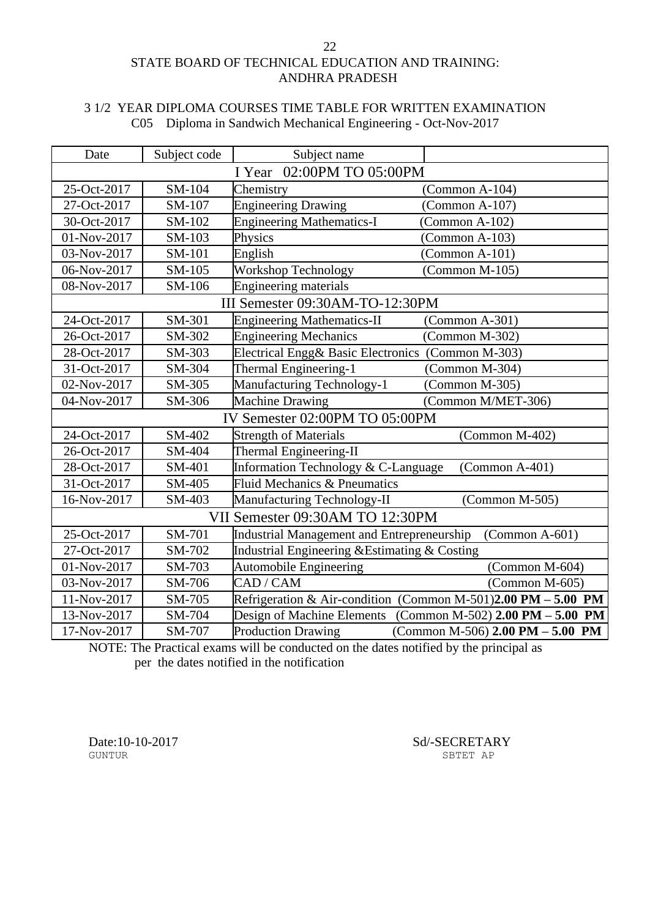#### 22 STATE BOARD OF TECHNICAL EDUCATION AND TRAINING: ANDHRA PRADESH

### 3 1/2 YEAR DIPLOMA COURSES TIME TABLE FOR WRITTEN EXAMINATION C05 Diploma in Sandwich Mechanical Engineering - Oct-Nov-2017

| Date                           | Subject code | Subject name                                      |                                                                 |
|--------------------------------|--------------|---------------------------------------------------|-----------------------------------------------------------------|
| 02:00PM TO 05:00PM<br>I Year   |              |                                                   |                                                                 |
| 25-Oct-2017                    | SM-104       | Chemistry                                         | $(Common A-104)$                                                |
| 27-Oct-2017                    | SM-107       | <b>Engineering Drawing</b>                        | (Common A-107)                                                  |
| 30-Oct-2017                    | SM-102       | <b>Engineering Mathematics-I</b>                  | $(Common A-102)$                                                |
| 01-Nov-2017                    | SM-103       | Physics                                           | $(Common A-103)$                                                |
| 03-Nov-2017                    | SM-101       | English                                           | $(Common A-101)$                                                |
| 06-Nov-2017                    | SM-105       | Workshop Technology                               | $(Common M-105)$                                                |
| 08-Nov-2017                    | SM-106       | <b>Engineering materials</b>                      |                                                                 |
|                                |              | III Semester 09:30AM-TO-12:30PM                   |                                                                 |
| 24-Oct-2017                    | SM-301       | <b>Engineering Mathematics-II</b>                 | (Common A-301)                                                  |
| 26-Oct-2017                    | SM-302       | <b>Engineering Mechanics</b>                      | (Common M-302)                                                  |
| 28-Oct-2017                    | SM-303       | Electrical Engg& Basic Electronics (Common M-303) |                                                                 |
| 31-Oct-2017                    | SM-304       | Thermal Engineering-1                             | (Common M-304)                                                  |
| 02-Nov-2017                    | SM-305       | Manufacturing Technology-1                        | (Common M-305)                                                  |
| 04-Nov-2017                    | SM-306       | <b>Machine Drawing</b>                            | (Common M/MET-306)                                              |
| IV Semester 02:00PM TO 05:00PM |              |                                                   |                                                                 |
| 24-Oct-2017                    | SM-402       | <b>Strength of Materials</b>                      | (Common M-402)                                                  |
| 26-Oct-2017                    | SM-404       | Thermal Engineering-II                            |                                                                 |
| 28-Oct-2017                    | SM-401       | Information Technology & C-Language               | $(Common A-401)$                                                |
| 31-Oct-2017                    | SM-405       | Fluid Mechanics & Pneumatics                      |                                                                 |
| 16-Nov-2017                    | SM-403       | <b>Manufacturing Technology-II</b>                | $(Common M-505)$                                                |
|                                |              | VII Semester 09:30AM TO 12:30PM                   |                                                                 |
| 25-Oct-2017                    | SM-701       | Industrial Management and Entrepreneurship        | $(Common A-601)$                                                |
| 27-Oct-2017                    | SM-702       | Industrial Engineering & Estimating & Costing     |                                                                 |
| 01-Nov-2017                    | SM-703       | <b>Automobile Engineering</b>                     | (Common M-604)                                                  |
| 03-Nov-2017                    | SM-706       | CAD / CAM                                         | $(Common M-605)$                                                |
| 11-Nov-2017                    | SM-705       |                                                   | Refrigeration & Air-condition (Common M-501)2.00 PM $-$ 5.00 PM |
| 13-Nov-2017                    | SM-704       | Design of Machine Elements                        | (Common M-502) 2.00 PM - 5.00 PM                                |
| 17-Nov-2017                    | SM-707       | <b>Production Drawing</b>                         | (Common M-506) $2.00$ PM $- 5.00$ PM                            |

NOTE: The Practical exams will be conducted on the dates notified by the principal as per the dates notified in the notification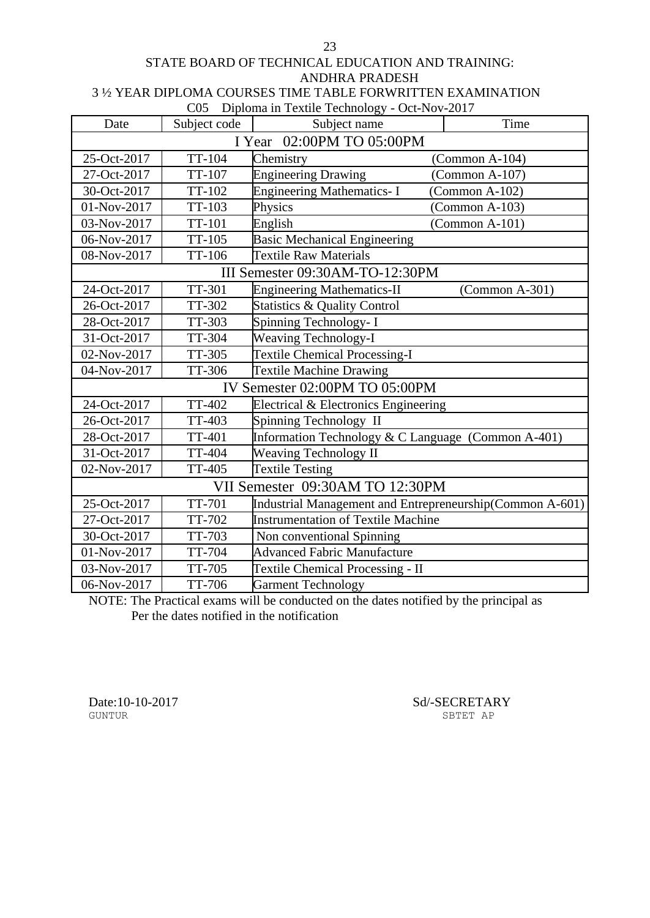# STATE BOARD OF TECHNICAL EDUCATION AND TRAINING: ANDHRA PRADESH

3 ½ YEAR DIPLOMA COURSES TIME TABLE FORWRITTEN EXAMINATION  $C<sub>05</sub>$  Diploma in Textile Technology  $C<sub>05</sub>$  Nov

|             |                           | COS Diploma in Textue Technology - Oct-Nov-2017          |                  |  |  |
|-------------|---------------------------|----------------------------------------------------------|------------------|--|--|
| Date        | Subject code              | Subject name                                             | Time             |  |  |
|             | I Year 02:00PM TO 05:00PM |                                                          |                  |  |  |
| 25-Oct-2017 | TT-104                    | Chemistry                                                | $(Common A-104)$ |  |  |
| 27-Oct-2017 | TT-107                    | <b>Engineering Drawing</b>                               | $(Common A-107)$ |  |  |
| 30-Oct-2017 | TT-102                    | <b>Engineering Mathematics-I</b>                         | $(Common A-102)$ |  |  |
| 01-Nov-2017 | TT-103                    | Physics                                                  | $(Common A-103)$ |  |  |
| 03-Nov-2017 | <b>TT-101</b>             | English                                                  | (Common A-101)   |  |  |
| 06-Nov-2017 | TT-105                    | <b>Basic Mechanical Engineering</b>                      |                  |  |  |
| 08-Nov-2017 | TT-106                    | <b>Textile Raw Materials</b>                             |                  |  |  |
|             |                           | III Semester 09:30AM-TO-12:30PM                          |                  |  |  |
| 24-Oct-2017 | TT-301                    | <b>Engineering Mathematics-II</b>                        | $(Common A-301)$ |  |  |
| 26-Oct-2017 | TT-302                    | <b>Statistics &amp; Quality Control</b>                  |                  |  |  |
| 28-Oct-2017 | TT-303                    | Spinning Technology- I                                   |                  |  |  |
| 31-Oct-2017 | TT-304                    | <b>Weaving Technology-I</b>                              |                  |  |  |
| 02-Nov-2017 | TT-305                    | <b>Textile Chemical Processing-I</b>                     |                  |  |  |
| 04-Nov-2017 | TT-306                    | <b>Textile Machine Drawing</b>                           |                  |  |  |
|             |                           | IV Semester 02:00PM TO 05:00PM                           |                  |  |  |
| 24-Oct-2017 | <b>TT-402</b>             | Electrical & Electronics Engineering                     |                  |  |  |
| 26-Oct-2017 | TT-403                    | Spinning Technology II                                   |                  |  |  |
| 28-Oct-2017 | <b>TT-401</b>             | Information Technology & C Language (Common A-401)       |                  |  |  |
| 31-Oct-2017 | <b>TT-404</b>             | <b>Weaving Technology II</b>                             |                  |  |  |
| 02-Nov-2017 | <b>TT-405</b>             | <b>Textile Testing</b>                                   |                  |  |  |
|             |                           | VII Semester 09:30AM TO 12:30PM                          |                  |  |  |
| 25-Oct-2017 | <b>TT-701</b>             | Industrial Management and Entrepreneurship(Common A-601) |                  |  |  |
| 27-Oct-2017 | TT-702                    | <b>Instrumentation of Textile Machine</b>                |                  |  |  |
| 30-Oct-2017 | TT-703                    | Non conventional Spinning                                |                  |  |  |
| 01-Nov-2017 | TT-704                    | <b>Advanced Fabric Manufacture</b>                       |                  |  |  |
| 03-Nov-2017 | TT-705                    | <b>Textile Chemical Processing - II</b>                  |                  |  |  |
| 06-Nov-2017 | TT-706                    | <b>Garment Technology</b>                                |                  |  |  |

NOTE: The Practical exams will be conducted on the dates notified by the principal as Per the dates notified in the notification